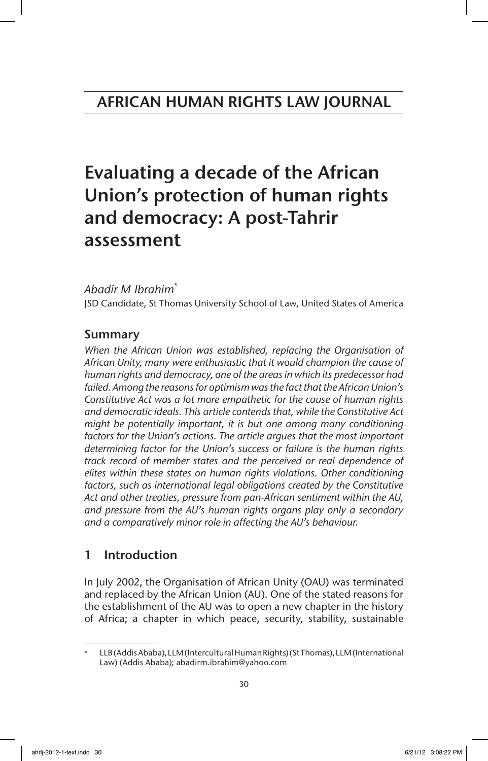# AFRICAN HUMAN RIGHTS LAW JOURNAL

# Evaluating a decade of the African Union's protection of human rights and democracy: A post-Tahrir assessment

# *Abadir M Ibrahim*\*

JSD Candidate, St Thomas University School of Law, United States of America

# Summary

*When the African Union was established, replacing the Organisation of African Unity, many were enthusiastic that it would champion the cause of human rights and democracy, one of the areas in which its predecessor had failed. Among the reasons for optimism was the fact that the African Union's Constitutive Act was a lot more empathetic for the cause of human rights and democratic ideals. This article contends that, while the Constitutive Act might be potentially important, it is but one among many conditioning*  factors for the Union's actions. The article argues that the most important *determining factor for the Union's success or failure is the human rights track record of member states and the perceived or real dependence of elites within these states on human rights violations. Other conditioning factors, such as international legal obligations created by the Constitutive Act and other treaties, pressure from pan-African sentiment within the AU, and pressure from the AU's human rights organs play only a secondary and a comparatively minor role in affecting the AU's behaviour.*

# 1 Introduction

In July 2002, the Organisation of African Unity (OAU) was terminated and replaced by the African Union (AU). One of the stated reasons for the establishment of the AU was to open a new chapter in the history of Africa; a chapter in which peace, security, stability, sustainable

LLB (Addis Ababa), LLM (Intercultural Human Rights) (St Thomas), LLM (International Law) (Addis Ababa); abadirm.ibrahim@yahoo.com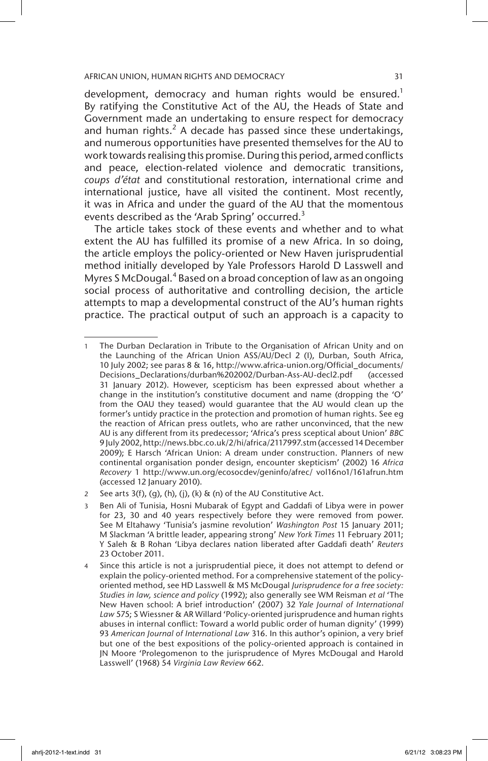development, democracy and human rights would be ensured.<sup>1</sup> By ratifying the Constitutive Act of the AU, the Heads of State and Government made an undertaking to ensure respect for democracy and human rights. $2$  A decade has passed since these undertakings, and numerous opportunities have presented themselves for the AU to work towards realising this promise. During this period, armed conflicts and peace, election-related violence and democratic transitions, *coups d'état* and constitutional restoration, international crime and international justice, have all visited the continent. Most recently, it was in Africa and under the guard of the AU that the momentous events described as the 'Arab Spring' occurred.<sup>3</sup>

The article takes stock of these events and whether and to what extent the AU has fulfilled its promise of a new Africa. In so doing, the article employs the policy-oriented or New Haven jurisprudential method initially developed by Yale Professors Harold D Lasswell and Myres SMcDougal.<sup>4</sup> Based on a broad conception of law as an ongoing social process of authoritative and controlling decision, the article attempts to map a developmental construct of the AU's human rights practice. The practical output of such an approach is a capacity to

<sup>1</sup> The Durban Declaration in Tribute to the Organisation of African Unity and on the Launching of the African Union ASS/AU/Decl 2 (I), Durban, South Africa, 10 July 2002; see paras 8 & 16, http://www.africa-union.org/Official\_documents/ Decisions\_Declarations/durban%202002/Durban-Ass-AU-decl2.pdf (accessed 31 January 2012). However, scepticism has been expressed about whether a change in the institution's constitutive document and name (dropping the 'O' from the OAU they teased) would guarantee that the AU would clean up the former's untidy practice in the protection and promotion of human rights. See eg the reaction of African press outlets, who are rather unconvinced, that the new AU is any different from its predecessor; 'Africa's press sceptical about Union' *BBC* 9 July 2002, http://news.bbc.co.uk/2/hi/africa/2117997.stm (accessed 14 December 2009); E Harsch 'African Union: A dream under construction. Planners of new continental organisation ponder design, encounter skepticism' (2002) 16 *Africa Recovery* 1 http://www.un.org/ecosocdev/geninfo/afrec/ vol16no1/161afrun.htm (accessed 12 January 2010).

<sup>2</sup> See arts  $3(f)$ , (g), (h), (j), (k) & (n) of the AU Constitutive Act.

Ben Ali of Tunisia, Hosni Mubarak of Egypt and Gaddafi of Libya were in power for 23, 30 and 40 years respectively before they were removed from power. See M Eltahawy 'Tunisia's jasmine revolution' *Washington Post* 15 January 2011; M Slackman 'A brittle leader, appearing strong' *New York Times* 11 February 2011; Y Saleh & B Rohan 'Libya declares nation liberated after Gaddafi death' *Reuters* 23 October 2011.

Since this article is not a jurisprudential piece, it does not attempt to defend or explain the policy-oriented method. For a comprehensive statement of the policyoriented method, see HD Lasswell & MS McDougal *Jurisprudence for a free society: Studies in law, science and policy* (1992); also generally see WM Reisman *et al* 'The New Haven school: A brief introduction' (2007) 32 *Yale Journal of International Law* 575; S Wiessner & AR Willard 'Policy-oriented jurisprudence and human rights abuses in internal conflict: Toward a world public order of human dignity' (1999) 93 *American Journal of International Law* 316. In this author's opinion, a very brief but one of the best expositions of the policy-oriented approach is contained in JN Moore 'Prolegomenon to the jurisprudence of Myres McDougal and Harold Lasswell' (1968) 54 *Virginia Law Review* 662.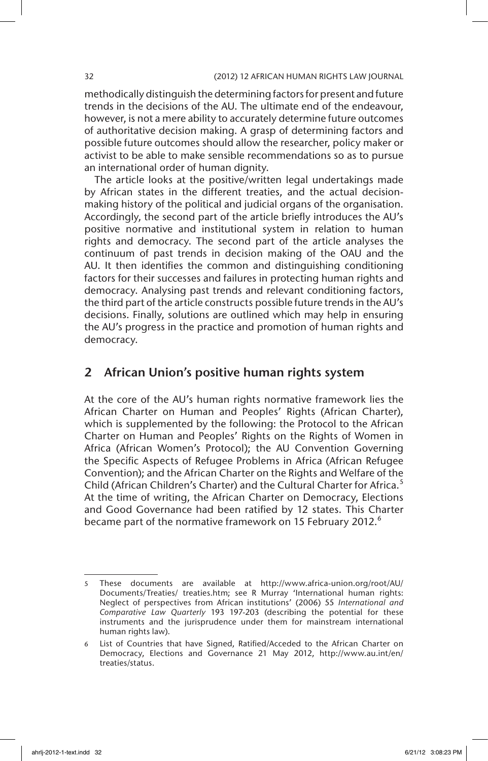methodically distinguish the determining factors for present and future trends in the decisions of the AU. The ultimate end of the endeavour, however, is not a mere ability to accurately determine future outcomes of authoritative decision making. A grasp of determining factors and possible future outcomes should allow the researcher, policy maker or activist to be able to make sensible recommendations so as to pursue an international order of human dignity.

The article looks at the positive/written legal undertakings made by African states in the different treaties, and the actual decisionmaking history of the political and judicial organs of the organisation. Accordingly, the second part of the article briefly introduces the AU's positive normative and institutional system in relation to human rights and democracy. The second part of the article analyses the continuum of past trends in decision making of the OAU and the AU. It then identifies the common and distinguishing conditioning factors for their successes and failures in protecting human rights and democracy. Analysing past trends and relevant conditioning factors, the third part of the article constructs possible future trends in the AU's decisions. Finally, solutions are outlined which may help in ensuring the AU's progress in the practice and promotion of human rights and democracy.

# 2 African Union's positive human rights system

At the core of the AU's human rights normative framework lies the African Charter on Human and Peoples' Rights (African Charter), which is supplemented by the following: the Protocol to the African Charter on Human and Peoples' Rights on the Rights of Women in Africa (African Women's Protocol); the AU Convention Governing the Specific Aspects of Refugee Problems in Africa (African Refugee Convention); and the African Charter on the Rights and Welfare of the Child (African Children's Charter) and the Cultural Charter for Africa.<sup>5</sup> At the time of writing, the African Charter on Democracy, Elections and Good Governance had been ratified by 12 states. This Charter became part of the normative framework on 15 February 2012.<sup>6</sup>

<sup>5</sup> These documents are available at http://www.africa-union.org/root/AU/ Documents/Treaties/ treaties.htm; see R Murray 'International human rights: Neglect of perspectives from African institutions' (2006) 55 *International and Comparative Law Quarterly* 193 197-203 (describing the potential for these instruments and the jurisprudence under them for mainstream international human rights law).

<sup>6</sup> List of Countries that have Signed, Ratified/Acceded to the African Charter on Democracy, Elections and Governance 21 May 2012, http://www.au.int/en/ treaties/status.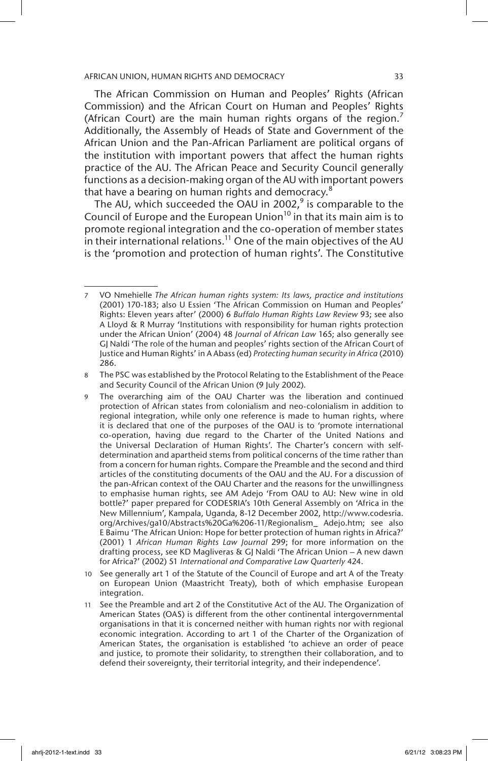The African Commission on Human and Peoples' Rights (African Commission) and the African Court on Human and Peoples' Rights (African Court) are the main human rights organs of the region.<sup>7</sup> Additionally, the Assembly of Heads of State and Government of the African Union and the Pan-African Parliament are political organs of the institution with important powers that affect the human rights practice of the AU. The African Peace and Security Council generally functions as a decision-making organ of the AU with important powers that have a bearing on human rights and democracy.<sup>8</sup>

The AU, which succeeded the OAU in 2002, $9$  is comparable to the Council of Europe and the European Union<sup>10</sup> in that its main aim is to promote regional integration and the co-operation of member states in their international relations.<sup>11</sup> One of the main objectives of the AU is the 'promotion and protection of human rights'. The Constitutive

<sup>7</sup> VO Nmehielle *The African human rights system: Its laws, practice and institutions* (2001) 170-183; also U Essien 'The African Commission on Human and Peoples' Rights: Eleven years after' (2000) 6 *Buffalo Human Rights Law Review* 93; see also A Lloyd & R Murray 'Institutions with responsibility for human rights protection under the African Union' (2004) 48 *Journal of African Law* 165; also generally see GJ Naldi 'The role of the human and peoples' rights section of the African Court of Justice and Human Rights' in A Abass (ed) *Protecting human security in Africa* (2010) 286.

<sup>8</sup> The PSC was established by the Protocol Relating to the Establishment of the Peace and Security Council of the African Union (9 July 2002).

<sup>9</sup> The overarching aim of the OAU Charter was the liberation and continued protection of African states from colonialism and neo-colonialism in addition to regional integration, while only one reference is made to human rights, where it is declared that one of the purposes of the OAU is to 'promote international co-operation, having due regard to the Charter of the United Nations and the Universal Declaration of Human Rights'. The Charter's concern with selfdetermination and apartheid stems from political concerns of the time rather than from a concern for human rights. Compare the Preamble and the second and third articles of the constituting documents of the OAU and the AU. For a discussion of the pan-African context of the OAU Charter and the reasons for the unwillingness to emphasise human rights, see AM Adejo 'From OAU to AU: New wine in old bottle?' paper prepared for CODESRIA's 10th General Assembly on 'Africa in the New Millennium', Kampala, Uganda, 8-12 December 2002, http://www.codesria. org/Archives/ga10/Abstracts%20Ga%206-11/Regionalism\_ Adejo.htm; see also E Baimu 'The African Union: Hope for better protection of human rights in Africa?' (2001) 1 *African Human Rights Law Journal* 299; for more information on the drafting process, see KD Magliveras & GJ Naldi 'The African Union – A new dawn for Africa?' (2002) 51 *International and Comparative Law Quarterly* 424.

<sup>10</sup> See generally art 1 of the Statute of the Council of Europe and art A of the Treaty on European Union (Maastricht Treaty), both of which emphasise European integration.

<sup>11</sup> See the Preamble and art 2 of the Constitutive Act of the AU. The Organization of American States (OAS) is different from the other continental intergovernmental organisations in that it is concerned neither with human rights nor with regional economic integration. According to art 1 of the Charter of the Organization of American States, the organisation is established 'to achieve an order of peace and justice, to promote their solidarity, to strengthen their collaboration, and to defend their sovereignty, their territorial integrity, and their independence'.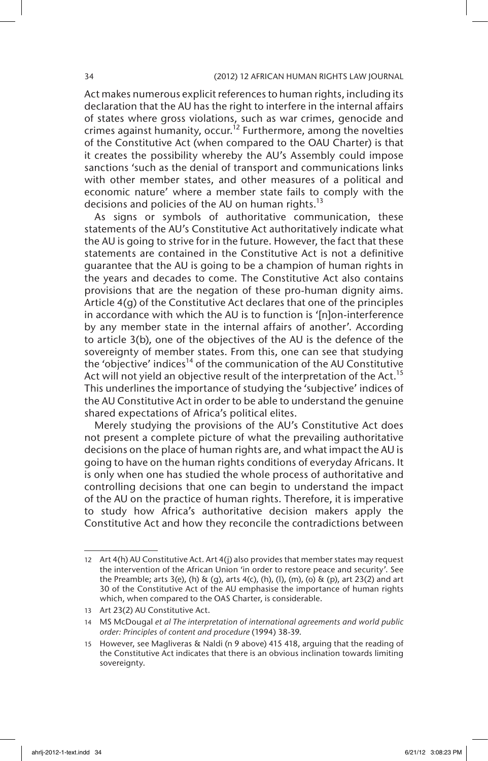Act makes numerous explicit references to human rights, including its declaration that the AU has the right to interfere in the internal affairs of states where gross violations, such as war crimes, genocide and crimes against humanity, occur.<sup>12</sup> Furthermore, among the novelties of the Constitutive Act (when compared to the OAU Charter) is that it creates the possibility whereby the AU's Assembly could impose sanctions 'such as the denial of transport and communications links with other member states, and other measures of a political and economic nature' where a member state fails to comply with the decisions and policies of the AU on human rights.<sup>13</sup>

As signs or symbols of authoritative communication, these statements of the AU's Constitutive Act authoritatively indicate what the AU is going to strive for in the future. However, the fact that these statements are contained in the Constitutive Act is not a definitive guarantee that the AU is going to be a champion of human rights in the years and decades to come. The Constitutive Act also contains provisions that are the negation of these pro-human dignity aims. Article 4(g) of the Constitutive Act declares that one of the principles in accordance with which the AU is to function is '[n]on-interference by any member state in the internal affairs of another'. According to article 3(b), one of the objectives of the AU is the defence of the sovereignty of member states. From this, one can see that studying the 'objective' indices<sup>14</sup> of the communication of the AU Constitutive Act will not yield an objective result of the interpretation of the Act.<sup>15</sup> This underlines the importance of studying the 'subjective' indices of the AU Constitutive Act in order to be able to understand the genuine shared expectations of Africa's political elites.

Merely studying the provisions of the AU's Constitutive Act does not present a complete picture of what the prevailing authoritative decisions on the place of human rights are, and what impact the AU is going to have on the human rights conditions of everyday Africans. It is only when one has studied the whole process of authoritative and controlling decisions that one can begin to understand the impact of the AU on the practice of human rights. Therefore, it is imperative to study how Africa's authoritative decision makers apply the Constitutive Act and how they reconcile the contradictions between

<sup>12</sup> Art 4(h) AU Constitutive Act. Art 4(j) also provides that member states may request the intervention of the African Union 'in order to restore peace and security'. See the Preamble; arts 3(e), (h) & (g), arts 4(c), (h), (l), (m), (o) & (p), art 23(2) and art 30 of the Constitutive Act of the AU emphasise the importance of human rights which, when compared to the OAS Charter, is considerable.

<sup>13</sup> Art 23(2) AU Constitutive Act.

<sup>14</sup> MS McDougal *et al The interpretation of international agreements and world public order: Principles of content and procedure* (1994) 38-39.

<sup>15</sup> However, see Magliveras & Naldi (n 9 above) 415 418, arguing that the reading of the Constitutive Act indicates that there is an obvious inclination towards limiting sovereignty.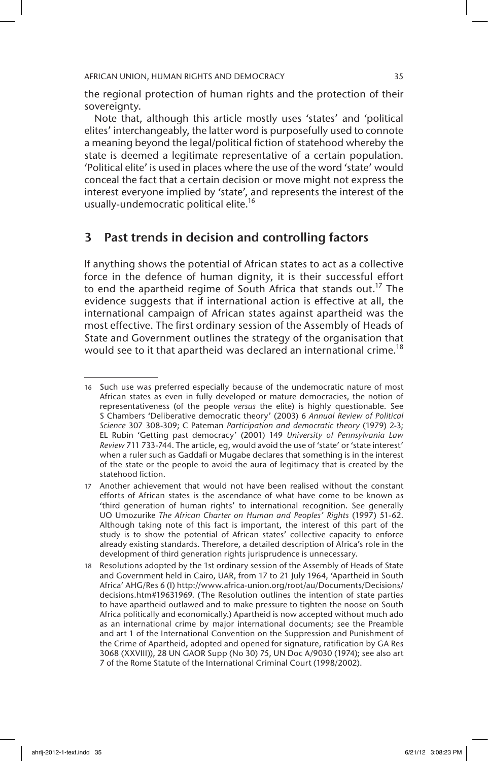the regional protection of human rights and the protection of their sovereignty.

Note that, although this article mostly uses 'states' and 'political elites' interchangeably, the latter word is purposefully used to connote a meaning beyond the legal/political fiction of statehood whereby the state is deemed a legitimate representative of a certain population. 'Political elite' is used in places where the use of the word 'state' would conceal the fact that a certain decision or move might not express the interest everyone implied by 'state', and represents the interest of the usually-undemocratic political elite.<sup>16</sup>

# 3 Past trends in decision and controlling factors

If anything shows the potential of African states to act as a collective force in the defence of human dignity, it is their successful effort to end the apartheid regime of South Africa that stands out.<sup>17</sup> The evidence suggests that if international action is effective at all, the international campaign of African states against apartheid was the most effective. The first ordinary session of the Assembly of Heads of State and Government outlines the strategy of the organisation that would see to it that apartheid was declared an international crime.<sup>18</sup>

<sup>16</sup> Such use was preferred especially because of the undemocratic nature of most African states as even in fully developed or mature democracies, the notion of representativeness (of the people *versus* the elite) is highly questionable. See S Chambers 'Deliberative democratic theory' (2003) 6 *Annual Review of Political Science* 307 308-309; C Pateman *Participation and democratic theory* (1979) 2-3; EL Rubin 'Getting past democracy' (2001) 149 *University of Pennsylvania Law Review* 711 733-744. The article, eg, would avoid the use of 'state' or 'state interest' when a ruler such as Gaddafi or Mugabe declares that something is in the interest of the state or the people to avoid the aura of legitimacy that is created by the statehood fiction.

<sup>17</sup> Another achievement that would not have been realised without the constant efforts of African states is the ascendance of what have come to be known as 'third generation of human rights' to international recognition. See generally UO Umozurike *The African Charter on Human and Peoples' Rights* (1997) 51-62. Although taking note of this fact is important, the interest of this part of the study is to show the potential of African states' collective capacity to enforce already existing standards. Therefore, a detailed description of Africa's role in the development of third generation rights jurisprudence is unnecessary.

<sup>18</sup> Resolutions adopted by the 1st ordinary session of the Assembly of Heads of State and Government held in Cairo, UAR, from 17 to 21 July 1964, 'Apartheid in South Africa' AHG/Res 6 (I) http://www.africa-union.org/root/au/Documents/Decisions/ decisions.htm#19631969. (The Resolution outlines the intention of state parties to have apartheid outlawed and to make pressure to tighten the noose on South Africa politically and economically.) Apartheid is now accepted without much ado as an international crime by major international documents; see the Preamble and art 1 of the International Convention on the Suppression and Punishment of the Crime of Apartheid, adopted and opened for signature, ratification by GA Res 3068 (XXVIII)), 28 UN GAOR Supp (No 30) 75, UN Doc A/9030 (1974); see also art 7 of the Rome Statute of the International Criminal Court (1998/2002).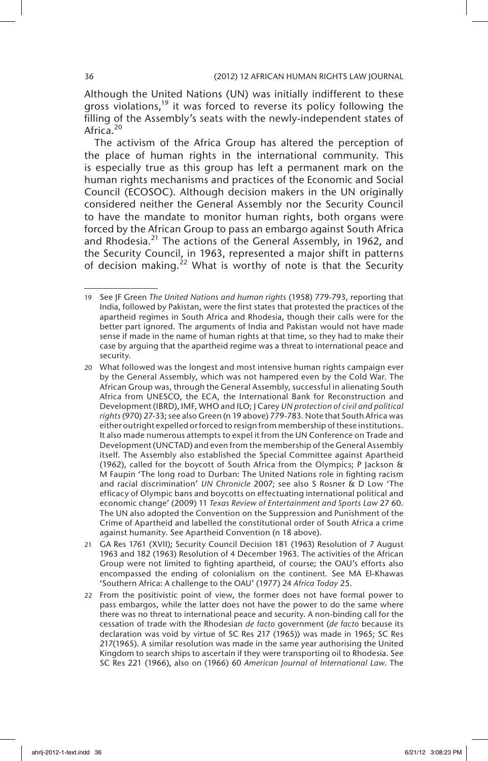Although the United Nations (UN) was initially indifferent to these gross violations,<sup>19</sup> it was forced to reverse its policy following the filling of the Assembly's seats with the newly-independent states of Africa.<sup>20</sup>

The activism of the Africa Group has altered the perception of the place of human rights in the international community. This is especially true as this group has left a permanent mark on the human rights mechanisms and practices of the Economic and Social Council (ECOSOC). Although decision makers in the UN originally considered neither the General Assembly nor the Security Council to have the mandate to monitor human rights, both organs were forced by the African Group to pass an embargo against South Africa and Rhodesia.<sup>21</sup> The actions of the General Assembly, in 1962, and the Security Council, in 1963, represented a major shift in patterns of decision making.<sup>22</sup> What is worthy of note is that the Security

<sup>19</sup> See JF Green *The United Nations and human rights* (1958) 779-793, reporting that India, followed by Pakistan, were the first states that protested the practices of the apartheid regimes in South Africa and Rhodesia, though their calls were for the better part ignored. The arguments of India and Pakistan would not have made sense if made in the name of human rights at that time, so they had to make their case by arguing that the apartheid regime was a threat to international peace and security.

<sup>20</sup> What followed was the longest and most intensive human rights campaign ever by the General Assembly, which was not hampered even by the Cold War. The African Group was, through the General Assembly, successful in alienating South Africa from UNESCO, the ECA, the International Bank for Reconstruction and Development (IBRD), IMF, WHO and ILO; J Carey *UN protection of civil and political rights* (970) 27-33; see also Green (n 19 above) 779-783. Note that South Africa was either outright expelled or forced to resign from membership of these institutions. It also made numerous attempts to expel it from the UN Conference on Trade and Development (UNCTAD) and even from the membership of the General Assembly itself. The Assembly also established the Special Committee against Apartheid (1962), called for the boycott of South Africa from the Olympics; P Jackson & M Faupin 'The long road to Durban: The United Nations role in fighting racism and racial discrimination' *UN Chronicle* 2007; see also S Rosner & D Low 'The efficacy of Olympic bans and boycotts on effectuating international political and economic change' (2009) 11 *Texas Review of Entertainment and Sports Law* 27 60. The UN also adopted the Convention on the Suppression and Punishment of the Crime of Apartheid and labelled the constitutional order of South Africa a crime against humanity. See Apartheid Convention (n 18 above).

<sup>21</sup> GA Res 1761 (XVII); Security Council Decision 181 (1963) Resolution of 7 August 1963 and 182 (1963) Resolution of 4 December 1963. The activities of the African Group were not limited to fighting apartheid, of course; the OAU's efforts also encompassed the ending of colonialism on the continent. See MA El-Khawas 'Southern Africa: A challenge to the OAU' (1977) 24 *Africa Today* 25.

<sup>22</sup> From the positivistic point of view, the former does not have formal power to pass embargos, while the latter does not have the power to do the same where there was no threat to international peace and security. A non-binding call for the cessation of trade with the Rhodesian *de facto* government (*de facto* because its declaration was void by virtue of SC Res 217 (1965)) was made in 1965; SC Res 217(1965). A similar resolution was made in the same year authorising the United Kingdom to search ships to ascertain if they were transporting oil to Rhodesia. See SC Res 221 (1966), also on (1966) 60 *American Journal of International Law*. The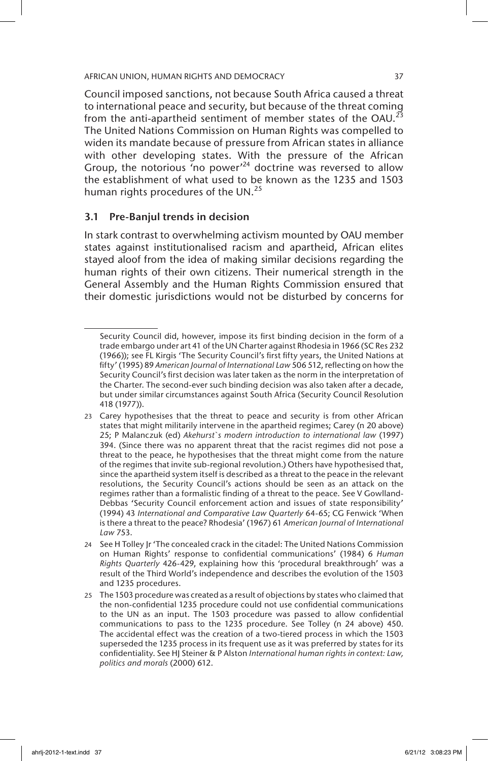Council imposed sanctions, not because South Africa caused a threat to international peace and security, but because of the threat coming from the anti-apartheid sentiment of member states of the OAU.<sup>23</sup> The United Nations Commission on Human Rights was compelled to widen its mandate because of pressure from African states in alliance with other developing states. With the pressure of the African Group, the notorious 'no power'<sup>24</sup> doctrine was reversed to allow the establishment of what used to be known as the 1235 and 1503 human rights procedures of the UN.<sup>25</sup>

# 3.1 Pre-Banjul trends in decision

In stark contrast to overwhelming activism mounted by OAU member states against institutionalised racism and apartheid, African elites stayed aloof from the idea of making similar decisions regarding the human rights of their own citizens. Their numerical strength in the General Assembly and the Human Rights Commission ensured that their domestic jurisdictions would not be disturbed by concerns for

Security Council did, however, impose its first binding decision in the form of a trade embargo under art 41 of the UN Charter against Rhodesia in 1966 (SC Res 232 (1966)); see FL Kirgis 'The Security Council's first fifty years, the United Nations at fifty' (1995) 89 *American Journal of International Law* 506 512, reflecting on how the Security Council's first decision was later taken as the norm in the interpretation of the Charter. The second-ever such binding decision was also taken after a decade, but under similar circumstances against South Africa (Security Council Resolution 418 (1977)).

<sup>23</sup> Carey hypothesises that the threat to peace and security is from other African states that might militarily intervene in the apartheid regimes; Carey (n 20 above) 25; P Malanczuk (ed) *Akehurst`s modern introduction to international law* (1997) 394. (Since there was no apparent threat that the racist regimes did not pose a threat to the peace, he hypothesises that the threat might come from the nature of the regimes that invite sub-regional revolution.) Others have hypothesised that, since the apartheid system itself is described as a threat to the peace in the relevant resolutions, the Security Council's actions should be seen as an attack on the regimes rather than a formalistic finding of a threat to the peace. See V Gowlland-Debbas 'Security Council enforcement action and issues of state responsibility' (1994) 43 *International and Comparative Law Quarterly* 64-65; CG Fenwick 'When is there a threat to the peace? Rhodesia' (1967) 61 *American Journal of International Law* 753.

<sup>24</sup> See H Tolley Jr 'The concealed crack in the citadel: The United Nations Commission on Human Rights' response to confidential communications' (1984) 6 *Human Rights Quarterly* 426-429, explaining how this 'procedural breakthrough' was a result of the Third World's independence and describes the evolution of the 1503 and 1235 procedures.

<sup>25</sup> The 1503 procedure was created as a result of objections by states who claimed that the non-confidential 1235 procedure could not use confidential communications to the UN as an input. The 1503 procedure was passed to allow confidential communications to pass to the 1235 procedure. See Tolley (n 24 above) 450. The accidental effect was the creation of a two-tiered process in which the 1503 superseded the 1235 process in its frequent use as it was preferred by states for its confidentiality. See HJ Steiner & P Alston *International human rights in context: Law, politics and morals* (2000) 612.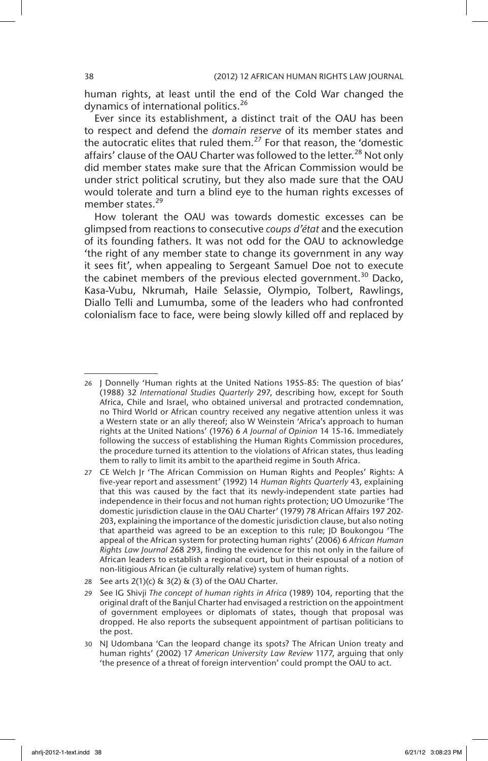human rights, at least until the end of the Cold War changed the dynamics of international politics.<sup>26</sup>

Ever since its establishment, a distinct trait of the OAU has been to respect and defend the *domain reserve* of its member states and the autocratic elites that ruled them.<sup>27</sup> For that reason, the 'domestic affairs' clause of the OAU Charter was followed to the letter.<sup>28</sup> Not only did member states make sure that the African Commission would be under strict political scrutiny, but they also made sure that the OAU would tolerate and turn a blind eye to the human rights excesses of member states.<sup>29</sup>

How tolerant the OAU was towards domestic excesses can be glimpsed from reactions to consecutive *coups d'état* and the execution of its founding fathers. It was not odd for the OAU to acknowledge 'the right of any member state to change its government in any way it sees fit', when appealing to Sergeant Samuel Doe not to execute the cabinet members of the previous elected government.<sup>30</sup> Dacko, Kasa-Vubu, Nkrumah, Haile Selassie, Olympio, Tolbert, Rawlings, Diallo Telli and Lumumba, some of the leaders who had confronted colonialism face to face, were being slowly killed off and replaced by

<sup>26</sup> J Donnelly 'Human rights at the United Nations 1955-85: The question of bias' (1988) 32 *International Studies Quarterly* 297, describing how, except for South Africa, Chile and Israel, who obtained universal and protracted condemnation, no Third World or African country received any negative attention unless it was a Western state or an ally thereof; also W Weinstein 'Africa's approach to human rights at the United Nations' (1976) 6 *A Journal of Opinion* 14 15-16. Immediately following the success of establishing the Human Rights Commission procedures, the procedure turned its attention to the violations of African states, thus leading them to rally to limit its ambit to the apartheid regime in South Africa.

<sup>27</sup> CE Welch Jr 'The African Commission on Human Rights and Peoples' Rights: A five-year report and assessment' (1992) 14 *Human Rights Quarterly* 43, explaining that this was caused by the fact that its newly-independent state parties had independence in their focus and not human rights protection; UO Umozurike 'The domestic jurisdiction clause in the OAU Charter' (1979) 78 African Affairs 197 202- 203, explaining the importance of the domestic jurisdiction clause, but also noting that apartheid was agreed to be an exception to this rule; JD Boukongou 'The appeal of the African system for protecting human rights' (2006) 6 *African Human Rights Law Journal* 268 293, finding the evidence for this not only in the failure of African leaders to establish a regional court, but in their espousal of a notion of non-litigious African (ie culturally relative) system of human rights.

<sup>28</sup> See arts  $2(1)(c)$  &  $3(2)$  &  $(3)$  of the OAU Charter.

<sup>29</sup> See IG Shivji *The concept of human rights in Africa* (1989) 104, reporting that the original draft of the Banjul Charter had envisaged a restriction on the appointment of government employees or diplomats of states, though that proposal was dropped. He also reports the subsequent appointment of partisan politicians to the post.

<sup>30</sup> NJ Udombana 'Can the leopard change its spots? The African Union treaty and human rights' (2002) 17 *American University Law Review* 1177, arguing that only 'the presence of a threat of foreign intervention' could prompt the OAU to act.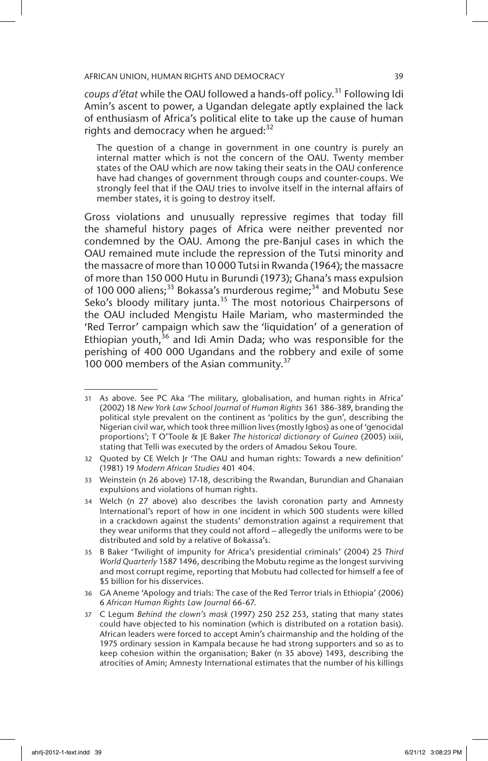coups d'état while the OAU followed a hands-off policy.<sup>31</sup> Following Idi Amin's ascent to power, a Ugandan delegate aptly explained the lack of enthusiasm of Africa's political elite to take up the cause of human rights and democracy when he argued: $32$ 

The question of a change in government in one country is purely an internal matter which is not the concern of the OAU. Twenty member states of the OAU which are now taking their seats in the OAU conference have had changes of government through coups and counter-coups. We strongly feel that if the OAU tries to involve itself in the internal affairs of member states, it is going to destroy itself.

Gross violations and unusually repressive regimes that today fill the shameful history pages of Africa were neither prevented nor condemned by the OAU. Among the pre-Banjul cases in which the OAU remained mute include the repression of the Tutsi minority and the massacre of more than 10 000 Tutsi in Rwanda (1964); the massacre of more than 150 000 Hutu in Burundi (1973); Ghana's mass expulsion of 100 000 aliens;<sup>33</sup> Bokassa's murderous regime;<sup>34</sup> and Mobutu Sese Seko's bloody military junta.<sup>35</sup> The most notorious Chairpersons of the OAU included Mengistu Haile Mariam, who masterminded the 'Red Terror' campaign which saw the 'liquidation' of a generation of Ethiopian youth,<sup>36</sup> and Idi Amin Dada; who was responsible for the perishing of 400 000 Ugandans and the robbery and exile of some 100 000 members of the Asian community.<sup>37</sup>

<sup>31</sup> As above. See PC Aka 'The military, globalisation, and human rights in Africa' (2002) 18 *New York Law School Journal of Human Rights* 361 386-389, branding the political style prevalent on the continent as 'politics by the gun', describing the Nigerian civil war, which took three million lives (mostly Igbos) as one of 'genocidal proportions'; T O'Toole & JE Baker *The historical dictionary of Guinea* (2005) ixiii, stating that Telli was executed by the orders of Amadou Sekou Toure.

<sup>32</sup> Quoted by CE Welch Jr 'The OAU and human rights: Towards a new definition' (1981) 19 *Modern African Studies* 401 404.

<sup>33</sup> Weinstein (n 26 above) 17-18, describing the Rwandan, Burundian and Ghanaian expulsions and violations of human rights.

<sup>34</sup> Welch (n 27 above) also describes the lavish coronation party and Amnesty International's report of how in one incident in which 500 students were killed in a crackdown against the students' demonstration against a requirement that they wear uniforms that they could not afford – allegedly the uniforms were to be distributed and sold by a relative of Bokassa's.

<sup>35</sup> B Baker 'Twilight of impunity for Africa's presidential criminals' (2004) 25 *Third World Quarterly* 1587 1496, describing the Mobutu regime as the longest surviving and most corrupt regime, reporting that Mobutu had collected for himself a fee of \$5 billion for his disservices.

<sup>36</sup> GA Aneme 'Apology and trials: The case of the Red Terror trials in Ethiopia' (2006) 6 *African Human Rights Law Journal* 66-67.

<sup>37</sup> C Legum *Behind the clown's mask* (1997) 250 252 253, stating that many states could have objected to his nomination (which is distributed on a rotation basis). African leaders were forced to accept Amin's chairmanship and the holding of the 1975 ordinary session in Kampala because he had strong supporters and so as to keep cohesion within the organisation; Baker (n 35 above) 1493, describing the atrocities of Amin; Amnesty International estimates that the number of his killings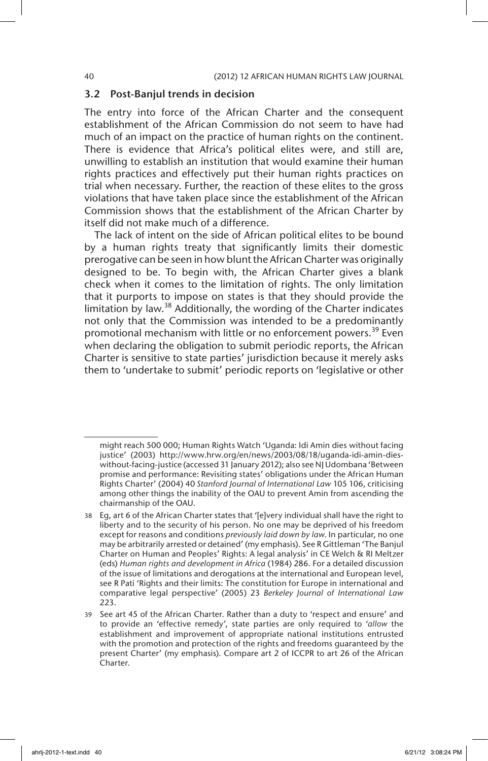# 3.2 Post-Banjul trends in decision

The entry into force of the African Charter and the consequent establishment of the African Commission do not seem to have had much of an impact on the practice of human rights on the continent. There is evidence that Africa's political elites were, and still are, unwilling to establish an institution that would examine their human rights practices and effectively put their human rights practices on trial when necessary. Further, the reaction of these elites to the gross violations that have taken place since the establishment of the African Commission shows that the establishment of the African Charter by itself did not make much of a difference.

The lack of intent on the side of African political elites to be bound by a human rights treaty that significantly limits their domestic prerogative can be seen in how blunt the African Charter was originally designed to be. To begin with, the African Charter gives a blank check when it comes to the limitation of rights. The only limitation that it purports to impose on states is that they should provide the limitation by law.<sup>38</sup> Additionally, the wording of the Charter indicates not only that the Commission was intended to be a predominantly promotional mechanism with little or no enforcement powers.<sup>39</sup> Even when declaring the obligation to submit periodic reports, the African Charter is sensitive to state parties' jurisdiction because it merely asks them to 'undertake to submit' periodic reports on 'legislative or other

might reach 500 000; Human Rights Watch 'Uganda: Idi Amin dies without facing justice' (2003) http://www.hrw.org/en/news/2003/08/18/uganda-idi-amin-dieswithout-facing-justice (accessed 31 January 2012); also see NJ Udombana 'Between promise and performance: Revisiting states' obligations under the African Human Rights Charter' (2004) 40 *Stanford Journal of International Law* 105 106, criticising among other things the inability of the OAU to prevent Amin from ascending the chairmanship of the OAU.

<sup>38</sup> Eg, art 6 of the African Charter states that '[e]very individual shall have the right to liberty and to the security of his person. No one may be deprived of his freedom except for reasons and conditions *previously laid down by law*. In particular, no one may be arbitrarily arrested or detained' (my emphasis). See R Gittleman 'The Banjul Charter on Human and Peoples' Rights: A legal analysis' in CE Welch & RI Meltzer (eds) *Human rights and development in Africa* (1984) 286. For a detailed discussion of the issue of limitations and derogations at the international and European level, see R Pati 'Rights and their limits: The constitution for Europe in international and comparative legal perspective' (2005) 23 *Berkeley Journal of International Law*  223.

<sup>39</sup> See art 45 of the African Charter. Rather than a duty to 'respect and ensure' and to provide an 'effective remedy', state parties are only required to '*allow* the establishment and improvement of appropriate national institutions entrusted with the promotion and protection of the rights and freedoms guaranteed by the present Charter' (my emphasis). Compare art 2 of ICCPR to art 26 of the African Charter.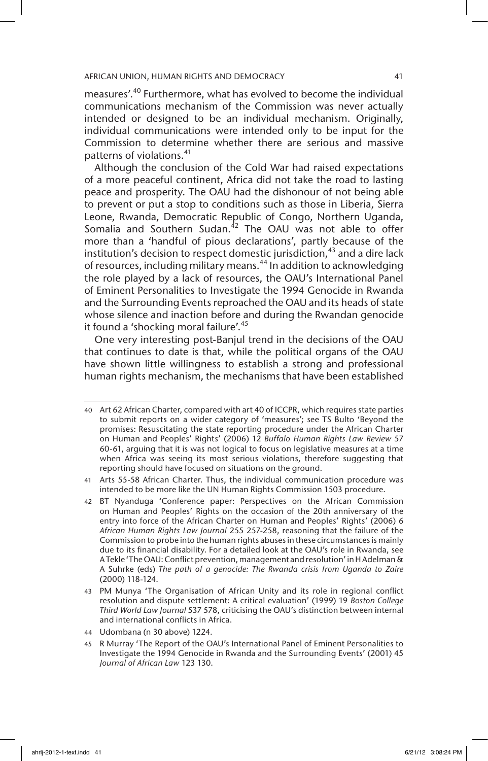measures'.40 Furthermore, what has evolved to become the individual communications mechanism of the Commission was never actually intended or designed to be an individual mechanism. Originally, individual communications were intended only to be input for the Commission to determine whether there are serious and massive patterns of violations.<sup>41</sup>

Although the conclusion of the Cold War had raised expectations of a more peaceful continent, Africa did not take the road to lasting peace and prosperity. The OAU had the dishonour of not being able to prevent or put a stop to conditions such as those in Liberia, Sierra Leone, Rwanda, Democratic Republic of Congo, Northern Uganda, Somalia and Southern Sudan.<sup>42</sup> The OAU was not able to offer more than a 'handful of pious declarations', partly because of the institution's decision to respect domestic jurisdiction,  $43$  and a dire lack of resources, including military means.<sup>44</sup> In addition to acknowledging the role played by a lack of resources, the OAU's International Panel of Eminent Personalities to Investigate the 1994 Genocide in Rwanda and the Surrounding Events reproached the OAU and its heads of state whose silence and inaction before and during the Rwandan genocide it found a 'shocking moral failure'.<sup>45</sup>

One very interesting post-Banjul trend in the decisions of the OAU that continues to date is that, while the political organs of the OAU have shown little willingness to establish a strong and professional human rights mechanism, the mechanisms that have been established

<sup>40</sup> Art 62 African Charter, compared with art 40 of ICCPR, which requires state parties to submit reports on a wider category of 'measures'; see TS Bulto 'Beyond the promises: Resuscitating the state reporting procedure under the African Charter on Human and Peoples' Rights' (2006) 12 *Buffalo Human Rights Law Review* 57 60-61, arguing that it is was not logical to focus on legislative measures at a time when Africa was seeing its most serious violations, therefore suggesting that reporting should have focused on situations on the ground.

<sup>41</sup> Arts 55-58 African Charter. Thus, the individual communication procedure was intended to be more like the UN Human Rights Commission 1503 procedure.

<sup>42</sup> BT Nyanduga 'Conference paper: Perspectives on the African Commission on Human and Peoples' Rights on the occasion of the 20th anniversary of the entry into force of the African Charter on Human and Peoples' Rights' (2006) 6 *African Human Rights Law Journal* 255 257-258, reasoning that the failure of the Commission to probe into the human rights abuses in these circumstances is mainly due to its financial disability. For a detailed look at the OAU's role in Rwanda, see A Tekle 'The OAU: Conflict prevention, management and resolution' in H Adelman & A Suhrke (eds) *The path of a genocide: The Rwanda crisis from Uganda to Zaire* (2000) 118-124.

<sup>43</sup> PM Munya 'The Organisation of African Unity and its role in regional conflict resolution and dispute settlement: A critical evaluation' (1999) 19 *Boston College Third World Law Journal* 537 578, criticising the OAU's distinction between internal and international conflicts in Africa.

<sup>44</sup> Udombana (n 30 above) 1224.

<sup>45</sup> R Murray 'The Report of the OAU's International Panel of Eminent Personalities to Investigate the 1994 Genocide in Rwanda and the Surrounding Events' (2001) 45 *Journal of African Law* 123 130.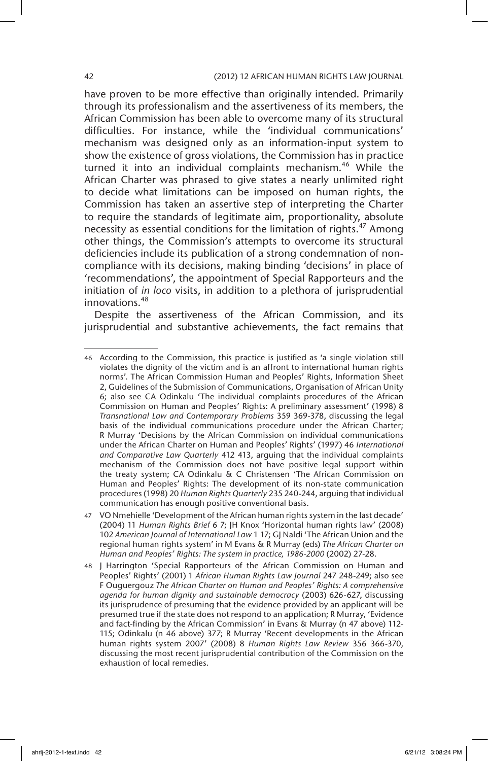# 42 (2012) 12 AFRICAN HUMAN RIGHTS LAW JOURNAL

have proven to be more effective than originally intended. Primarily through its professionalism and the assertiveness of its members, the African Commission has been able to overcome many of its structural difficulties. For instance, while the 'individual communications' mechanism was designed only as an information-input system to show the existence of gross violations, the Commission has in practice turned it into an individual complaints mechanism.<sup>46</sup> While the African Charter was phrased to give states a nearly unlimited right to decide what limitations can be imposed on human rights, the Commission has taken an assertive step of interpreting the Charter to require the standards of legitimate aim, proportionality, absolute necessity as essential conditions for the limitation of rights.<sup>47</sup> Among other things, the Commission's attempts to overcome its structural deficiencies include its publication of a strong condemnation of noncompliance with its decisions, making binding 'decisions' in place of 'recommendations', the appointment of Special Rapporteurs and the initiation of *in loco* visits, in addition to a plethora of jurisprudential innovations.<sup>48</sup>

Despite the assertiveness of the African Commission, and its jurisprudential and substantive achievements, the fact remains that

<sup>46</sup> According to the Commission, this practice is justified as 'a single violation still violates the dignity of the victim and is an affront to international human rights norms'. The African Commission Human and Peoples' Rights, Information Sheet 2, Guidelines of the Submission of Communications, Organisation of African Unity 6; also see CA Odinkalu 'The individual complaints procedures of the African Commission on Human and Peoples' Rights: A preliminary assessment' (1998) 8 *Transnational Law and Contemporary Problems* 359 369-378, discussing the legal basis of the individual communications procedure under the African Charter; R Murray 'Decisions by the African Commission on individual communications under the African Charter on Human and Peoples' Rights' (1997) 46 *International and Comparative Law Quarterly* 412 413, arguing that the individual complaints mechanism of the Commission does not have positive legal support within the treaty system; CA Odinkalu & C Christensen 'The African Commission on Human and Peoples' Rights: The development of its non-state communication procedures (1998) 20 *Human Rights Quarterly* 235 240-244, arguing that individual communication has enough positive conventional basis.

<sup>47</sup> VO Nmehielle 'Development of the African human rights system in the last decade' (2004) 11 *Human Rights Brief* 6 7; JH Knox 'Horizontal human rights law' (2008) 102 *American Journal of International Law* 1 17; GJ Naldi 'The African Union and the regional human rights system' in M Evans & R Murray (eds) *The African Charter on Human and Peoples' Rights: The system in practice, 1986-2000* (2002) 27-28.

<sup>48</sup> J Harrington 'Special Rapporteurs of the African Commission on Human and Peoples' Rights' (2001) 1 *African Human Rights Law Journal* 247 248-249; also see F Ouguergouz *The African Charter on Human and Peoples' Rights: A comprehensive agenda for human dignity and sustainable democracy* (2003) 626-627, discussing its jurisprudence of presuming that the evidence provided by an applicant will be presumed true if the state does not respond to an application; R Murray, 'Evidence and fact-finding by the African Commission' in Evans & Murray (n 47 above) 112- 115; Odinkalu (n 46 above) 377; R Murray 'Recent developments in the African human rights system 2007' (2008) 8 *Human Rights Law Review* 356 366-370, discussing the most recent jurisprudential contribution of the Commission on the exhaustion of local remedies.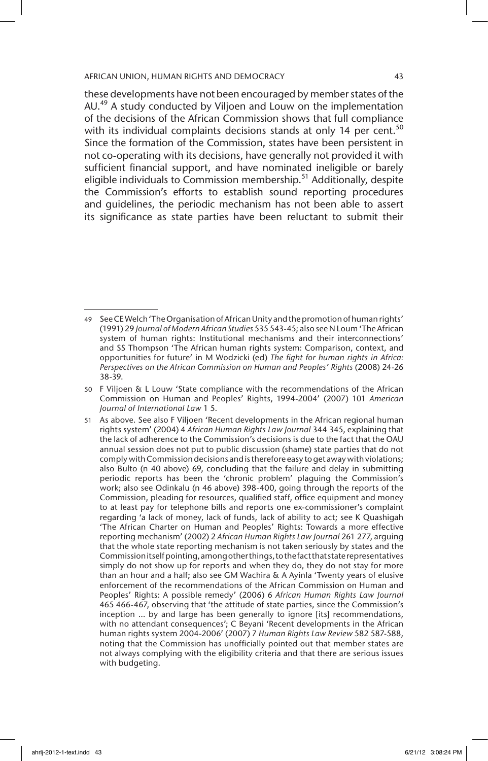these developments have not been encouraged by member states of the AU.<sup>49</sup> A study conducted by Viljoen and Louw on the implementation of the decisions of the African Commission shows that full compliance with its individual complaints decisions stands at only 14 per cent.<sup>50</sup> Since the formation of the Commission, states have been persistent in not co-operating with its decisions, have generally not provided it with sufficient financial support, and have nominated ineligible or barely eligible individuals to Commission membership.<sup>51</sup> Additionally, despite the Commission's efforts to establish sound reporting procedures and guidelines, the periodic mechanism has not been able to assert its significance as state parties have been reluctant to submit their

<sup>49</sup> See CE Welch 'The Organisation of African Unity and the promotion of human rights' (1991) 29 *Journal of Modern African Studies* 535 543-45; also see N Loum 'The African system of human rights: Institutional mechanisms and their interconnections' and SS Thompson 'The African human rights system: Comparison, context, and opportunities for future' in M Wodzicki (ed) *The fight for human rights in Africa: Perspectives on the African Commission on Human and Peoples' Rights* (2008) 24-26 38-39.

<sup>50</sup> F Viljoen & L Louw 'State compliance with the recommendations of the African Commission on Human and Peoples' Rights, 1994-2004' (2007) 101 *American Journal of International Law* 1 5.

<sup>51</sup> As above. See also F Viljoen 'Recent developments in the African regional human rights system' (2004) 4 *African Human Rights Law Journal* 344 345, explaining that the lack of adherence to the Commission's decisions is due to the fact that the OAU annual session does not put to public discussion (shame) state parties that do not comply with Commission decisions and is therefore easy to get away with violations; also Bulto (n 40 above) 69, concluding that the failure and delay in submitting periodic reports has been the 'chronic problem' plaguing the Commission's work; also see Odinkalu (n 46 above) 398-400, going through the reports of the Commission, pleading for resources, qualified staff, office equipment and money to at least pay for telephone bills and reports one ex-commissioner's complaint regarding 'a lack of money, lack of funds, lack of ability to act; see K Quashigah 'The African Charter on Human and Peoples' Rights: Towards a more effective reporting mechanism' (2002) 2 *African Human Rights Law Journal* 261 277, arguing that the whole state reporting mechanism is not taken seriously by states and the Commission itself pointing, among other things, to the fact that state representatives simply do not show up for reports and when they do, they do not stay for more than an hour and a half; also see GM Wachira & A Ayinla 'Twenty years of elusive enforcement of the recommendations of the African Commission on Human and Peoples' Rights: A possible remedy' (2006) 6 *African Human Rights Law Journal* 465 466-467, observing that 'the attitude of state parties, since the Commission's inception … by and large has been generally to ignore [its] recommendations, with no attendant consequences'; C Beyani 'Recent developments in the African human rights system 2004-2006' (2007) 7 *Human Rights Law Review* 582 587-588, noting that the Commission has unofficially pointed out that member states are not always complying with the eligibility criteria and that there are serious issues with budgeting.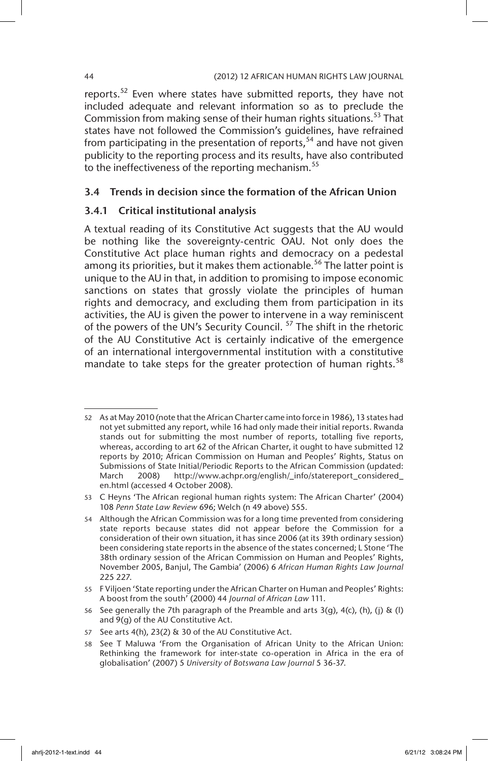reports.<sup>52</sup> Even where states have submitted reports, they have not included adequate and relevant information so as to preclude the Commission from making sense of their human rights situations.<sup>53</sup> That states have not followed the Commission's guidelines, have refrained from participating in the presentation of reports,  $54$  and have not given publicity to the reporting process and its results, have also contributed to the ineffectiveness of the reporting mechanism.<sup>55</sup>

# 3.4 Trends in decision since the formation of the African Union

# 3.4.1 Critical institutional analysis

A textual reading of its Constitutive Act suggests that the AU would be nothing like the sovereignty-centric OAU. Not only does the Constitutive Act place human rights and democracy on a pedestal among its priorities, but it makes them actionable.<sup>56</sup> The latter point is unique to the AU in that, in addition to promising to impose economic sanctions on states that grossly violate the principles of human rights and democracy, and excluding them from participation in its activities, the AU is given the power to intervene in a way reminiscent of the powers of the UN's Security Council.<sup>57</sup> The shift in the rhetoric of the AU Constitutive Act is certainly indicative of the emergence of an international intergovernmental institution with a constitutive mandate to take steps for the greater protection of human rights. $58$ 

<sup>52</sup> As at May 2010 (note that the African Charter came into force in 1986), 13 states had not yet submitted any report, while 16 had only made their initial reports. Rwanda stands out for submitting the most number of reports, totalling five reports, whereas, according to art 62 of the African Charter, it ought to have submitted 12 reports by 2010; African Commission on Human and Peoples' Rights, Status on Submissions of State Initial/Periodic Reports to the African Commission (updated: March 2008) http://www.achpr.org/english/\_info/statereport\_considered\_ en.html (accessed 4 October 2008).

<sup>53</sup> C Heyns 'The African regional human rights system: The African Charter' (2004) 108 *Penn State Law Review* 696; Welch (n 49 above) 555.

<sup>54</sup> Although the African Commission was for a long time prevented from considering state reports because states did not appear before the Commission for a consideration of their own situation, it has since 2006 (at its 39th ordinary session) been considering state reports in the absence of the states concerned; L Stone 'The 38th ordinary session of the African Commission on Human and Peoples' Rights, November 2005, Banjul, The Gambia' (2006) 6 *African Human Rights Law Journal*  225 227.

<sup>55</sup> F Viljoen 'State reporting under the African Charter on Human and Peoples' Rights: A boost from the south' (2000) 44 *Journal of African Law* 111.

<sup>56</sup> See generally the 7th paragraph of the Preamble and arts  $3(q)$ ,  $4(c)$ , (h), (j) & (l) and 9(g) of the AU Constitutive Act.

<sup>57</sup> See arts 4(h), 23(2) & 30 of the AU Constitutive Act.

<sup>58</sup> See T Maluwa 'From the Organisation of African Unity to the African Union: Rethinking the framework for inter-state co-operation in Africa in the era of globalisation' (2007) 5 *University of Botswana Law Journal* 5 36-37.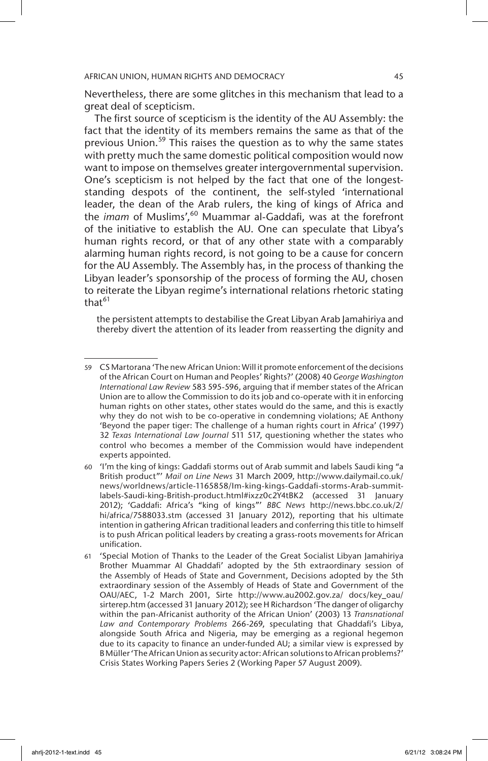Nevertheless, there are some glitches in this mechanism that lead to a great deal of scepticism.

The first source of scepticism is the identity of the AU Assembly: the fact that the identity of its members remains the same as that of the previous Union.<sup>59</sup> This raises the question as to why the same states with pretty much the same domestic political composition would now want to impose on themselves greater intergovernmental supervision. One's scepticism is not helped by the fact that one of the longeststanding despots of the continent, the self-styled 'international leader, the dean of the Arab rulers, the king of kings of Africa and the *imam* of Muslims',<sup>60</sup> Muammar al-Gaddafi, was at the forefront of the initiative to establish the AU. One can speculate that Libya's human rights record, or that of any other state with a comparably alarming human rights record, is not going to be a cause for concern for the AU Assembly. The Assembly has, in the process of thanking the Libyan leader's sponsorship of the process of forming the AU, chosen to reiterate the Libyan regime's international relations rhetoric stating that $^{61}$ 

the persistent attempts to destabilise the Great Libyan Arab Jamahiriya and thereby divert the attention of its leader from reasserting the dignity and

<sup>59</sup> CS Martorana 'The new African Union: Will it promote enforcement of the decisions of the African Court on Human and Peoples' Rights?' (2008) 40 *George Washington International Law Review* 583 595-596, arguing that if member states of the African Union are to allow the Commission to do its job and co-operate with it in enforcing human rights on other states, other states would do the same, and this is exactly why they do not wish to be co-operative in condemning violations; AE Anthony 'Beyond the paper tiger: The challenge of a human rights court in Africa' (1997) 32 *Texas International Law Journal* 511 517, questioning whether the states who control who becomes a member of the Commission would have independent experts appointed.

<sup>60</sup> 'I'm the king of kings: Gaddafi storms out of Arab summit and labels Saudi king "a British product"' *Mail on Line News* 31 March 2009, http://www.dailymail.co.uk/ news/worldnews/article-1165858/Im-king-kings-Gaddafi-storms-Arab-summitlabels-Saudi-king-British-product.html#ixzz0c2Y4tBK2 (accessed 31 January 2012); 'Gaddafi: Africa's "king of kings"' *BBC News* http://news.bbc.co.uk/2/ hi/africa/7588033.stm (accessed 31 January 2012), reporting that his ultimate intention in gathering African traditional leaders and conferring this title to himself is to push African political leaders by creating a grass-roots movements for African unification.

<sup>61</sup> 'Special Motion of Thanks to the Leader of the Great Socialist Libyan Jamahiriya Brother Muammar Al Ghaddafi' adopted by the 5th extraordinary session of the Assembly of Heads of State and Government, Decisions adopted by the 5th extraordinary session of the Assembly of Heads of State and Government of the OAU/AEC, 1-2 March 2001, Sirte http://www.au2002.gov.za/ docs/key\_oau/ sirterep.htm (accessed 31 January 2012); see H Richardson 'The danger of oligarchy within the pan-Africanist authority of the African Union' (2003) 13 *Transnational Law and Contemporary Problems* 266-269, speculating that Ghaddafi's Libya, alongside South Africa and Nigeria, may be emerging as a regional hegemon due to its capacity to finance an under-funded AU; a similar view is expressed by B Müller 'The African Union as security actor: African solutions to African problems?' Crisis States Working Papers Series 2 (Working Paper 57 August 2009).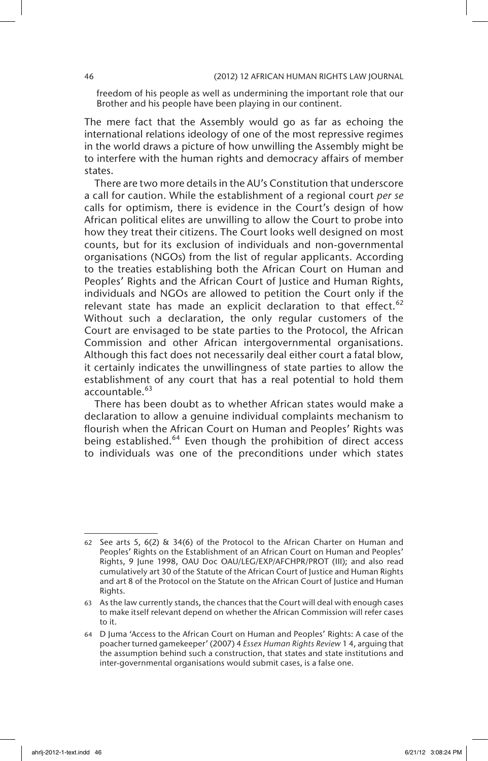freedom of his people as well as undermining the important role that our Brother and his people have been playing in our continent.

The mere fact that the Assembly would go as far as echoing the international relations ideology of one of the most repressive regimes in the world draws a picture of how unwilling the Assembly might be to interfere with the human rights and democracy affairs of member states.

There are two more details in the AU's Constitution that underscore a call for caution. While the establishment of a regional court *per se* calls for optimism, there is evidence in the Court's design of how African political elites are unwilling to allow the Court to probe into how they treat their citizens. The Court looks well designed on most counts, but for its exclusion of individuals and non-governmental organisations (NGOs) from the list of regular applicants. According to the treaties establishing both the African Court on Human and Peoples' Rights and the African Court of Justice and Human Rights, individuals and NGOs are allowed to petition the Court only if the relevant state has made an explicit declaration to that effect.<sup>62</sup> Without such a declaration, the only regular customers of the Court are envisaged to be state parties to the Protocol, the African Commission and other African intergovernmental organisations. Although this fact does not necessarily deal either court a fatal blow, it certainly indicates the unwillingness of state parties to allow the establishment of any court that has a real potential to hold them accountable.<sup>63</sup>

There has been doubt as to whether African states would make a declaration to allow a genuine individual complaints mechanism to flourish when the African Court on Human and Peoples' Rights was being established.<sup>64</sup> Even though the prohibition of direct access to individuals was one of the preconditions under which states

<sup>62</sup> See arts 5,  $6(2)$  & 34 $(6)$  of the Protocol to the African Charter on Human and Peoples' Rights on the Establishment of an African Court on Human and Peoples' Rights, 9 June 1998, OAU Doc OAU/LEG/EXP/AFCHPR/PROT (III); and also read cumulatively art 30 of the Statute of the African Court of Justice and Human Rights and art 8 of the Protocol on the Statute on the African Court of Justice and Human Rights.

<sup>63</sup> As the law currently stands, the chances that the Court will deal with enough cases to make itself relevant depend on whether the African Commission will refer cases to it.

<sup>64</sup> D Juma 'Access to the African Court on Human and Peoples' Rights: A case of the poacher turned gamekeeper' (2007) 4 *Essex Human Rights Review* 1 4, arguing that the assumption behind such a construction, that states and state institutions and inter-governmental organisations would submit cases, is a false one.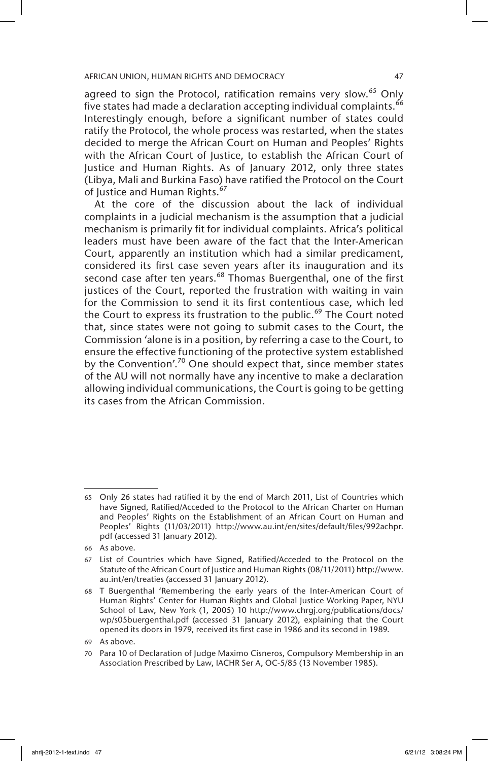agreed to sign the Protocol, ratification remains very slow.<sup>65</sup> Only five states had made a declaration accepting individual complaints.<sup>66</sup> Interestingly enough, before a significant number of states could ratify the Protocol, the whole process was restarted, when the states decided to merge the African Court on Human and Peoples' Rights with the African Court of Justice, to establish the African Court of Justice and Human Rights. As of January 2012, only three states (Libya, Mali and Burkina Faso) have ratified the Protocol on the Court of Justice and Human Rights.<sup>67</sup>

At the core of the discussion about the lack of individual complaints in a judicial mechanism is the assumption that a judicial mechanism is primarily fit for individual complaints. Africa's political leaders must have been aware of the fact that the Inter-American Court, apparently an institution which had a similar predicament, considered its first case seven years after its inauguration and its second case after ten years. $68$  Thomas Buergenthal, one of the first justices of the Court, reported the frustration with waiting in vain for the Commission to send it its first contentious case, which led the Court to express its frustration to the public.<sup>69</sup> The Court noted that, since states were not going to submit cases to the Court, the Commission 'alone is in a position, by referring a case to the Court, to ensure the effective functioning of the protective system established by the Convention'.<sup>70</sup> One should expect that, since member states of the AU will not normally have any incentive to make a declaration allowing individual communications, the Court is going to be getting its cases from the African Commission.

<sup>65</sup> Only 26 states had ratified it by the end of March 2011, List of Countries which have Signed, Ratified/Acceded to the Protocol to the African Charter on Human and Peoples' Rights on the Establishment of an African Court on Human and Peoples' Rights (11/03/2011) http://www.au.int/en/sites/default/files/992achpr. pdf (accessed 31 January 2012).

<sup>66</sup> As above.

<sup>67</sup> List of Countries which have Signed, Ratified/Acceded to the Protocol on the Statute of the African Court of Justice and Human Rights (08/11/2011) http://www. au.int/en/treaties (accessed 31 January 2012).

<sup>68</sup> T Buergenthal 'Remembering the early years of the Inter-American Court of Human Rights' Center for Human Rights and Global Justice Working Paper, NYU School of Law, New York (1, 2005) 10 http://www.chrgj.org/publications/docs/ wp/s05buergenthal.pdf (accessed 31 January 2012), explaining that the Court opened its doors in 1979, received its first case in 1986 and its second in 1989.

<sup>69</sup> As above.

<sup>70</sup> Para 10 of Declaration of Judge Maximo Cisneros, Compulsory Membership in an Association Prescribed by Law, IACHR Ser A, OC-5/85 (13 November 1985).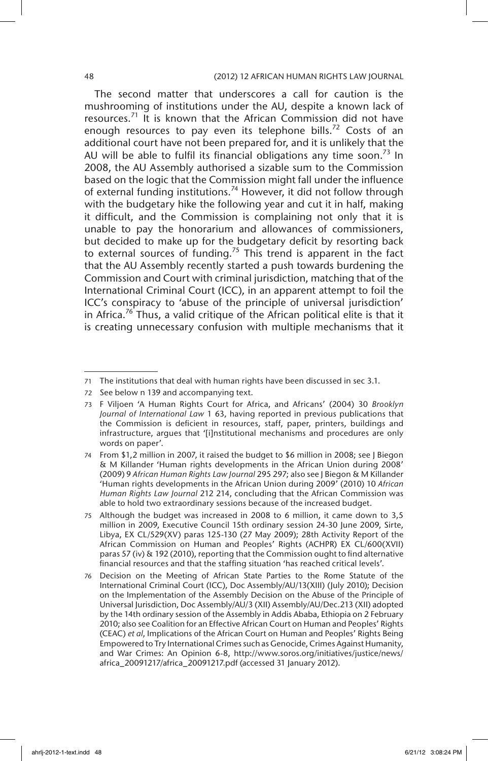The second matter that underscores a call for caution is the mushrooming of institutions under the AU, despite a known lack of resources.<sup>71</sup> It is known that the African Commission did not have enough resources to pay even its telephone bills.<sup>72</sup> Costs of an additional court have not been prepared for, and it is unlikely that the AU will be able to fulfil its financial obligations any time soon.<sup>73</sup> In 2008, the AU Assembly authorised a sizable sum to the Commission based on the logic that the Commission might fall under the influence of external funding institutions.<sup>74</sup> However, it did not follow through with the budgetary hike the following year and cut it in half, making it difficult, and the Commission is complaining not only that it is unable to pay the honorarium and allowances of commissioners, but decided to make up for the budgetary deficit by resorting back to external sources of funding.<sup>75</sup> This trend is apparent in the fact that the AU Assembly recently started a push towards burdening the Commission and Court with criminal jurisdiction, matching that of the International Criminal Court (ICC), in an apparent attempt to foil the ICC's conspiracy to 'abuse of the principle of universal jurisdiction' in Africa.<sup>76</sup> Thus, a valid critique of the African political elite is that it is creating unnecessary confusion with multiple mechanisms that it

<sup>71</sup> The institutions that deal with human rights have been discussed in sec 3.1.

<sup>72</sup> See below n 139 and accompanying text.

<sup>73</sup> F Viljoen 'A Human Rights Court for Africa, and Africans' (2004) 30 *Brooklyn Journal of International Law* 1 63, having reported in previous publications that the Commission is deficient in resources, staff, paper, printers, buildings and infrastructure, argues that '[i]nstitutional mechanisms and procedures are only words on paper'.

<sup>74</sup> From \$1,2 million in 2007, it raised the budget to \$6 million in 2008; see J Biegon & M Killander 'Human rights developments in the African Union during 2008' (2009) 9 *African Human Rights Law Journal* 295 297; also see J Biegon & M Killander 'Human rights developments in the African Union during 2009' (2010) 10 *African Human Rights Law Journal* 212 214, concluding that the African Commission was able to hold two extraordinary sessions because of the increased budget.

<sup>75</sup> Although the budget was increased in 2008 to 6 million, it came down to 3,5 million in 2009, Executive Council 15th ordinary session 24-30 June 2009, Sirte, Libya, EX CL/529(XV) paras 125-130 (27 May 2009); 28th Activity Report of the African Commission on Human and Peoples' Rights (ACHPR) EX CL/600(XVII) paras 57 (iv) & 192 (2010), reporting that the Commission ought to find alternative financial resources and that the staffing situation 'has reached critical levels'.

<sup>76</sup> Decision on the Meeting of African State Parties to the Rome Statute of the International Criminal Court (ICC), Doc Assembly/AU/13(XIII) (July 2010); Decision on the Implementation of the Assembly Decision on the Abuse of the Principle of Universal Jurisdiction, Doc Assembly/AU/3 (XII) Assembly/AU/Dec.213 (XII) adopted by the 14th ordinary session of the Assembly in Addis Ababa, Ethiopia on 2 February 2010; also see Coalition for an Effective African Court on Human and Peoples' Rights (CEAC) *et al*, Implications of the African Court on Human and Peoples' Rights Being Empowered to Try International Crimes such as Genocide, Crimes Against Humanity, and War Crimes: An Opinion 6-8, http://www.soros.org/initiatives/justice/news/ africa\_20091217/africa\_20091217.pdf (accessed 31 January 2012).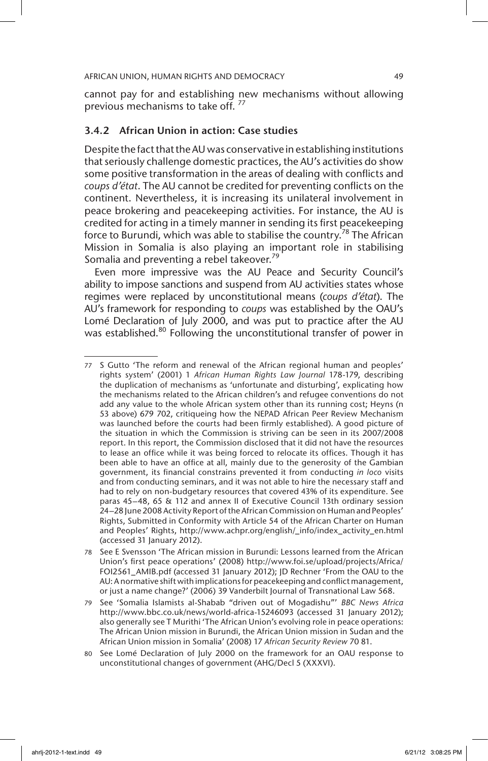cannot pay for and establishing new mechanisms without allowing previous mechanisms to take off.<sup>77</sup>

# 3.4.2 African Union in action: Case studies

Despite the fact that the AU was conservative in establishing institutions that seriously challenge domestic practices, the AU's activities do show some positive transformation in the areas of dealing with conflicts and *coups d'état*. The AU cannot be credited for preventing conflicts on the continent. Nevertheless, it is increasing its unilateral involvement in peace brokering and peacekeeping activities. For instance, the AU is credited for acting in a timely manner in sending its first peacekeeping force to Burundi, which was able to stabilise the country.<sup>78</sup> The African Mission in Somalia is also playing an important role in stabilising Somalia and preventing a rebel takeover.<sup>79</sup>

Even more impressive was the AU Peace and Security Council's ability to impose sanctions and suspend from AU activities states whose regimes were replaced by unconstitutional means (*coups d'état*). The AU's framework for responding to *coups* was established by the OAU's Lomé Declaration of July 2000, and was put to practice after the AU was established.<sup>80</sup> Following the unconstitutional transfer of power in

<sup>77</sup> S Gutto 'The reform and renewal of the African regional human and peoples' rights system' (2001) 1 *African Human Rights Law Journal* 178-179, describing the duplication of mechanisms as 'unfortunate and disturbing', explicating how the mechanisms related to the African children's and refugee conventions do not add any value to the whole African system other than its running cost; Heyns (n 53 above) 679 702, critiqueing how the NEPAD African Peer Review Mechanism was launched before the courts had been firmly established). A good picture of the situation in which the Commission is striving can be seen in its 2007/2008 report. In this report, the Commission disclosed that it did not have the resources to lease an office while it was being forced to relocate its offices. Though it has been able to have an office at all, mainly due to the generosity of the Gambian government, its financial constrains prevented it from conducting *in loco* visits and from conducting seminars, and it was not able to hire the necessary staff and had to rely on non-budgetary resources that covered 43% of its expenditure. See paras 45–48, 65 & 112 and annex II of Executive Council 13th ordinary session 24–28 June 2008 Activity Report of the African Commission on Human and Peoples' Rights, Submitted in Conformity with Article 54 of the African Charter on Human and Peoples' Rights, http://www.achpr.org/english/\_info/index\_activity\_en.html (accessed 31 January 2012).

<sup>78</sup> See E Svensson 'The African mission in Burundi: Lessons learned from the African Union's first peace operations' (2008) http://www.foi.se/upload/projects/Africa/ FOI2561\_AMIB.pdf (accessed 31 January 2012); JD Rechner 'From the OAU to the AU: A normative shift with implications for peacekeeping and conflict management, or just a name change?' (2006) 39 Vanderbilt Journal of Transnational Law 568.

<sup>79</sup> See 'Somalia Islamists al-Shabab "driven out of Mogadishu"' *BBC News Africa* http://www.bbc.co.uk/news/world-africa-15246093 (accessed 31 January 2012); also generally see T Murithi 'The African Union's evolving role in peace operations: The African Union mission in Burundi, the African Union mission in Sudan and the African Union mission in Somalia' (2008) 17 *African Security Review* 70 81.

<sup>80</sup> See Lomé Declaration of July 2000 on the framework for an OAU response to unconstitutional changes of government (AHG/Decl 5 (XXXVI).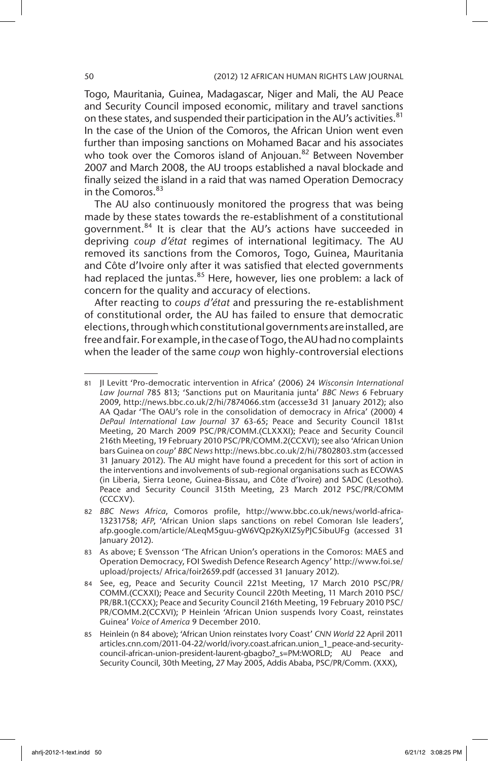Togo, Mauritania, Guinea, Madagascar, Niger and Mali, the AU Peace and Security Council imposed economic, military and travel sanctions on these states, and suspended their participation in the AU's activities.<sup>81</sup> In the case of the Union of the Comoros, the African Union went even further than imposing sanctions on Mohamed Bacar and his associates who took over the Comoros island of Anjouan.<sup>82</sup> Between November 2007 and March 2008, the AU troops established a naval blockade and finally seized the island in a raid that was named Operation Democracy in the Comoros.<sup>83</sup>

The AU also continuously monitored the progress that was being made by these states towards the re-establishment of a constitutional government.84 It is clear that the AU's actions have succeeded in depriving *coup d'état* regimes of international legitimacy. The AU removed its sanctions from the Comoros, Togo, Guinea, Mauritania and Côte d'Ivoire only after it was satisfied that elected governments had replaced the juntas.<sup>85</sup> Here, however, lies one problem: a lack of concern for the quality and accuracy of elections.

After reacting to *coups d'état* and pressuring the re-establishment of constitutional order, the AU has failed to ensure that democratic elections, through which constitutional governments are installed, are free and fair. For example, in the case of Togo, the AU had no complaints when the leader of the same *coup* won highly-controversial elections

<sup>81</sup> JI Levitt 'Pro-democratic intervention in Africa' (2006) 24 *Wisconsin International Law Journal* 785 813; 'Sanctions put on Mauritania junta' *BBC News* 6 February 2009, http://news.bbc.co.uk/2/hi/7874066.stm (accesse3d 31 January 2012); also AA Qadar 'The OAU's role in the consolidation of democracy in Africa' (2000) 4 *DePaul International Law Journal* 37 63-65; Peace and Security Council 181st Meeting, 20 March 2009 PSC/PR/COMM.(CLXXXI); Peace and Security Council 216th Meeting, 19 February 2010 PSC/PR/COMM.2(CCXVI); see also 'African Union bars Guinea on *coup*' *BBC News* http://news.bbc.co.uk/2/hi/7802803.stm (accessed 31 January 2012). The AU might have found a precedent for this sort of action in the interventions and involvements of sub-regional organisations such as ECOWAS (in Liberia, Sierra Leone, Guinea-Bissau, and Côte d'Ivoire) and SADC (Lesotho). Peace and Security Council 315th Meeting, 23 March 2012 PSC/PR/COMM (CCCXV).

<sup>82</sup> *BBC News Africa*, Comoros profile, http://www.bbc.co.uk/news/world-africa-13231758; *AFP*, 'African Union slaps sanctions on rebel Comoran Isle leaders', afp.google.com/article/ALeqM5guu-gW6VQp2KyXIZSyPJC5ibuUFg (accessed 31 January 2012).

<sup>83</sup> As above; E Svensson 'The African Union's operations in the Comoros: MAES and Operation Democracy, FOI Swedish Defence Research Agency' http://www.foi.se/ upload/projects/ Africa/foir2659.pdf (accessed 31 January 2012).

<sup>84</sup> See, eg, Peace and Security Council 221st Meeting, 17 March 2010 PSC/PR/ COMM.(CCXXI); Peace and Security Council 220th Meeting, 11 March 2010 PSC/ PR/BR.1(CCXX); Peace and Security Council 216th Meeting, 19 February 2010 PSC/ PR/COMM.2(CCXVI); P Heinlein 'African Union suspends Ivory Coast, reinstates Guinea' *Voice of America* 9 December 2010.

<sup>85</sup> Heinlein (n 84 above); 'African Union reinstates Ivory Coast' *CNN World* 22 April 2011 articles.cnn.com/2011-04-22/world/ivory.coast.african.union\_1\_peace-and-securitycouncil-african-union-president-laurent-gbagbo?\_s=PM:WORLD; AU Peace and Security Council, 30th Meeting, 27 May 2005, Addis Ababa, PSC/PR/Comm. (XXX),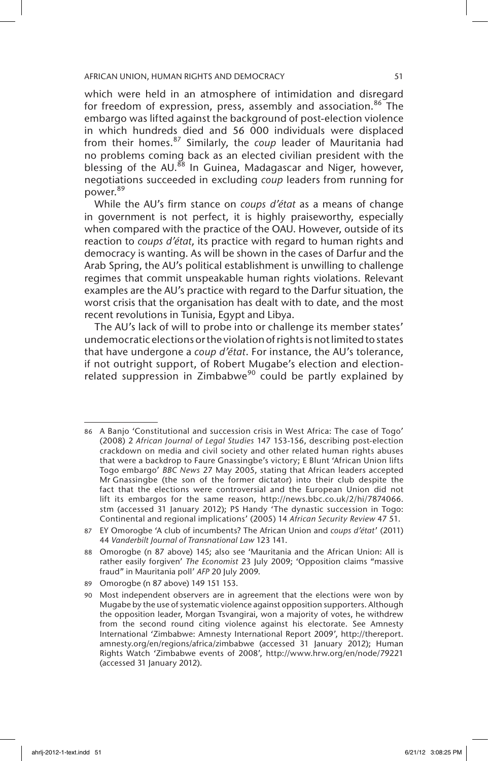which were held in an atmosphere of intimidation and disregard for freedom of expression, press, assembly and association.<sup>86</sup> The embargo was lifted against the background of post-election violence in which hundreds died and 56 000 individuals were displaced from their homes.87 Similarly, the *coup* leader of Mauritania had no problems coming back as an elected civilian president with the blessing of the AU.<sup>88</sup> In Guinea, Madagascar and Niger, however, negotiations succeeded in excluding *coup* leaders from running for power.<sup>89</sup>

While the AU's firm stance on *coups d'état* as a means of change in government is not perfect, it is highly praiseworthy, especially when compared with the practice of the OAU. However, outside of its reaction to *coups d'état*, its practice with regard to human rights and democracy is wanting. As will be shown in the cases of Darfur and the Arab Spring, the AU's political establishment is unwilling to challenge regimes that commit unspeakable human rights violations. Relevant examples are the AU's practice with regard to the Darfur situation, the worst crisis that the organisation has dealt with to date, and the most recent revolutions in Tunisia, Egypt and Libya.

The AU's lack of will to probe into or challenge its member states' undemocratic elections or the violation of rights is not limited to states that have undergone a *coup d'état*. For instance, the AU's tolerance, if not outright support, of Robert Mugabe's election and electionrelated suppression in Zimbabwe<sup>90</sup> could be partly explained by

<sup>86</sup> A Banjo 'Constitutional and succession crisis in West Africa: The case of Togo' (2008) 2 *African Journal of Legal Studies* 147 153-156, describing post-election crackdown on media and civil society and other related human rights abuses that were a backdrop to Faure Gnassingbe's victory; E Blunt 'African Union lifts Togo embargo' *BBC News* 27 May 2005, stating that African leaders accepted Mr Gnassingbe (the son of the former dictator) into their club despite the fact that the elections were controversial and the European Union did not lift its embargos for the same reason, http://news.bbc.co.uk/2/hi/7874066. stm (accessed 31 January 2012); PS Handy 'The dynastic succession in Togo: Continental and regional implications' (2005) 14 *African Security Review* 47 51.

<sup>87</sup> EY Omorogbe 'A club of incumbents? The African Union and *coups d'état*' (2011) 44 *Vanderbilt Journal of Transnational Law* 123 141.

<sup>88</sup> Omorogbe (n 87 above) 145; also see 'Mauritania and the African Union: All is rather easily forgiven' *The Economist* 23 July 2009; 'Opposition claims "massive fraud" in Mauritania poll' *AFP* 20 July 2009.

<sup>89</sup> Omorogbe (n 87 above) 149 151 153.

<sup>90</sup> Most independent observers are in agreement that the elections were won by Mugabe by the use of systematic violence against opposition supporters. Although the opposition leader, Morgan Tsvangirai, won a majority of votes, he withdrew from the second round citing violence against his electorate. See Amnesty International 'Zimbabwe: Amnesty International Report 2009', http://thereport. amnesty.org/en/regions/africa/zimbabwe (accessed 31 January 2012); Human Rights Watch 'Zimbabwe events of 2008', http://www.hrw.org/en/node/79221 (accessed 31 January 2012).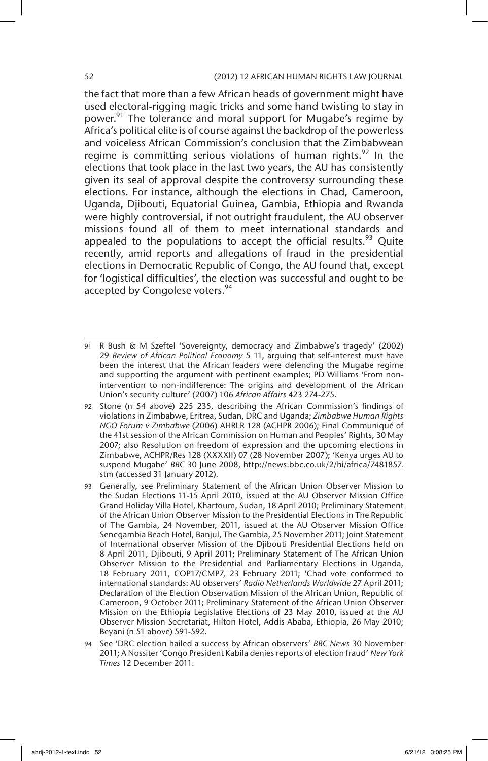# 52 (2012) 12 AFRICAN HUMAN RIGHTS LAW JOURNAL

the fact that more than a few African heads of government might have used electoral-rigging magic tricks and some hand twisting to stay in power.<sup>91</sup> The tolerance and moral support for Mugabe's regime by Africa's political elite is of course against the backdrop of the powerless and voiceless African Commission's conclusion that the Zimbabwean regime is committing serious violations of human rights.<sup>92</sup> In the elections that took place in the last two years, the AU has consistently given its seal of approval despite the controversy surrounding these elections. For instance, although the elections in Chad, Cameroon, Uganda, Djibouti, Equatorial Guinea, Gambia, Ethiopia and Rwanda were highly controversial, if not outright fraudulent, the AU observer missions found all of them to meet international standards and appealed to the populations to accept the official results.<sup>93</sup> Quite recently, amid reports and allegations of fraud in the presidential elections in Democratic Republic of Congo, the AU found that, except for 'logistical difficulties', the election was successful and ought to be accepted by Congolese voters.<sup>94</sup>

<sup>91</sup> R Bush & M Szeftel 'Sovereignty, democracy and Zimbabwe's tragedy' (2002) 29 *Review of African Political Economy* 5 11, arguing that self-interest must have been the interest that the African leaders were defending the Mugabe regime and supporting the argument with pertinent examples; PD Williams 'From nonintervention to non-indifference: The origins and development of the African Union's security culture' (2007) 106 *African Affairs* 423 274-275.

<sup>92</sup> Stone (n 54 above) 225 235, describing the African Commission's findings of violations in Zimbabwe, Eritrea, Sudan, DRC and Uganda; *Zimbabwe Human Rights NGO Forum v Zimbabwe* (2006) AHRLR 128 (ACHPR 2006); Final Communiqué of the 41st session of the African Commission on Human and Peoples' Rights, 30 May 2007; also Resolution on freedom of expression and the upcoming elections in Zimbabwe, ACHPR/Res 128 (XXXXII) 07 (28 November 2007); 'Kenya urges AU to suspend Mugabe' *BBC* 30 June 2008, http://news.bbc.co.uk/2/hi/africa/7481857. stm (accessed 31 January 2012).

<sup>93</sup> Generally, see Preliminary Statement of the African Union Observer Mission to the Sudan Elections 11-15 April 2010, issued at the AU Observer Mission Office Grand Holiday Villa Hotel, Khartoum, Sudan, 18 April 2010; Preliminary Statement of the African Union Observer Mission to the Presidential Elections in The Republic of The Gambia, 24 November, 2011, issued at the AU Observer Mission Office Senegambia Beach Hotel, Banjul, The Gambia, 25 November 2011; Joint Statement of International observer Mission of the Djibouti Presidential Elections held on 8 April 2011, Djibouti, 9 April 2011; Preliminary Statement of The African Union Observer Mission to the Presidential and Parliamentary Elections in Uganda, 18 February 2011, COP17/CMP7, 23 February 2011; 'Chad vote conformed to international standards: AU observers' *Radio Netherlands Worldwide* 27 April 2011; Declaration of the Election Observation Mission of the African Union, Republic of Cameroon, 9 October 2011; Preliminary Statement of the African Union Observer Mission on the Ethiopia Legislative Elections of 23 May 2010, issued at the AU Observer Mission Secretariat, Hilton Hotel, Addis Ababa, Ethiopia, 26 May 2010; Beyani (n 51 above) 591-592.

<sup>94</sup> See 'DRC election hailed a success by African observers' *BBC News* 30 November 2011; A Nossiter 'Congo President Kabila denies reports of election fraud' *New York Times* 12 December 2011.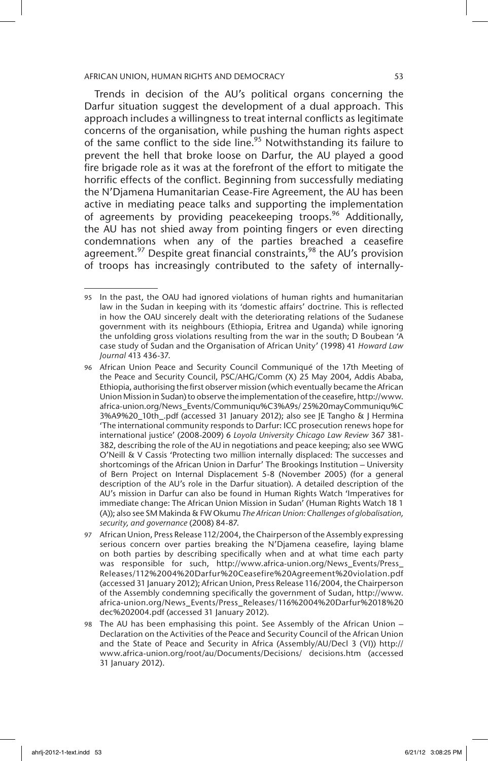Trends in decision of the AU's political organs concerning the Darfur situation suggest the development of a dual approach. This approach includes a willingness to treat internal conflicts as legitimate concerns of the organisation, while pushing the human rights aspect of the same conflict to the side line.<sup>95</sup> Notwithstanding its failure to prevent the hell that broke loose on Darfur, the AU played a good fire brigade role as it was at the forefront of the effort to mitigate the horrific effects of the conflict. Beginning from successfully mediating the N'Djamena Humanitarian Cease-Fire Agreement, the AU has been active in mediating peace talks and supporting the implementation of agreements by providing peacekeeping troops.<sup>96</sup> Additionally, the AU has not shied away from pointing fingers or even directing condemnations when any of the parties breached a ceasefire agreement.<sup>97</sup> Despite great financial constraints,<sup>98</sup> the AU's provision of troops has increasingly contributed to the safety of internally-

<sup>95</sup> In the past, the OAU had ignored violations of human rights and humanitarian law in the Sudan in keeping with its 'domestic affairs' doctrine. This is reflected in how the OAU sincerely dealt with the deteriorating relations of the Sudanese government with its neighbours (Ethiopia, Eritrea and Uganda) while ignoring the unfolding gross violations resulting from the war in the south; D Boubean 'A case study of Sudan and the Organisation of African Unity' (1998) 41 *Howard Law Journal* 413 436-37.

<sup>96</sup> African Union Peace and Security Council Communiqué of the 17th Meeting of the Peace and Security Council, PSC/AHG/Comm (X) 25 May 2004, Addis Ababa, Ethiopia, authorising the first observer mission (which eventually became the African Union Mission in Sudan) to observe the implementation of the ceasefire, http://www. africa-union.org/News\_Events/Communiqu%C3%A9s/ 25%20mayCommuniqu%C 3%A9%20\_10th\_.pdf (accessed 31 January 2012); also see JE Tangho & J Hermina 'The international community responds to Darfur: ICC prosecution renews hope for international justice' (2008-2009) 6 *Loyola University Chicago Law Review* 367 381- 382, describing the role of the AU in negotiations and peace keeping; also see WWG O'Neill & V Cassis 'Protecting two million internally displaced: The successes and shortcomings of the African Union in Darfur' The Brookings Institution – University of Bern Project on Internal Displacement 5-8 (November 2005) (for a general description of the AU's role in the Darfur situation). A detailed description of the AU's mission in Darfur can also be found in Human Rights Watch 'Imperatives for immediate change: The African Union Mission in Sudan' (Human Rights Watch 18 1 (A)); also see SM Makinda & FW Okumu *The African Union: Challenges of globalisation, security, and governance* (2008) 84-87.

<sup>97</sup> African Union, Press Release 112/2004, the Chairperson of the Assembly expressing serious concern over parties breaking the N'Djamena ceasefire, laying blame on both parties by describing specifically when and at what time each party was responsible for such, http://www.africa-union.org/News\_Events/Press\_ Releases/112%2004%20Darfur%20Ceasefire%20Agreement%20violation.pdf (accessed 31 January 2012); African Union, Press Release 116/2004, the Chairperson of the Assembly condemning specifically the government of Sudan, http://www. africa-union.org/News\_Events/Press\_Releases/116%2004%20Darfur%2018%20 dec%202004.pdf (accessed 31 January 2012).

<sup>98</sup> The AU has been emphasising this point. See Assembly of the African Union – Declaration on the Activities of the Peace and Security Council of the African Union and the State of Peace and Security in Africa (Assembly/AU/Decl 3 (VI)) http:// www.africa-union.org/root/au/Documents/Decisions/ decisions.htm (accessed 31 January 2012).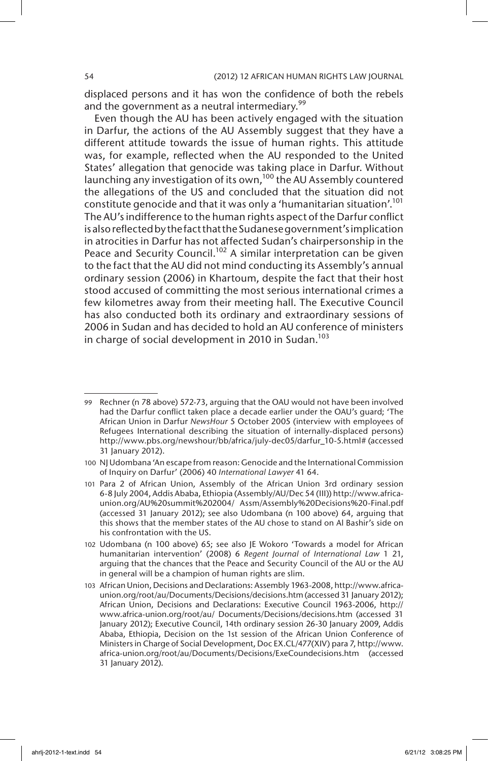displaced persons and it has won the confidence of both the rebels and the government as a neutral intermediary. $99$ 

Even though the AU has been actively engaged with the situation in Darfur, the actions of the AU Assembly suggest that they have a different attitude towards the issue of human rights. This attitude was, for example, reflected when the AU responded to the United States' allegation that genocide was taking place in Darfur. Without launching any investigation of its own,<sup>100</sup> the AU Assembly countered the allegations of the US and concluded that the situation did not constitute genocide and that it was only a 'humanitarian situation'.<sup>101</sup> The AU's indifference to the human rights aspect of the Darfur conflict is also reflected by the fact that the Sudanese government's implication in atrocities in Darfur has not affected Sudan's chairpersonship in the Peace and Security Council.<sup>102</sup> A similar interpretation can be given to the fact that the AU did not mind conducting its Assembly's annual ordinary session (2006) in Khartoum, despite the fact that their host stood accused of committing the most serious international crimes a few kilometres away from their meeting hall. The Executive Council has also conducted both its ordinary and extraordinary sessions of 2006 in Sudan and has decided to hold an AU conference of ministers in charge of social development in 2010 in Sudan.<sup>103</sup>

<sup>99</sup> Rechner (n 78 above) 572-73, arguing that the OAU would not have been involved had the Darfur conflict taken place a decade earlier under the OAU's guard; 'The African Union in Darfur *NewsHour* 5 October 2005 (interview with employees of Refugees International describing the situation of internally-displaced persons) http://www.pbs.org/newshour/bb/africa/july-dec05/darfur\_10-5.html# (accessed 31 January 2012).

<sup>100</sup> NJ Udombana 'An escape from reason: Genocide and the International Commission of Inquiry on Darfur' (2006) 40 *International Lawyer* 41 64.

<sup>101</sup> Para 2 of African Union, Assembly of the African Union 3rd ordinary session 6-8 July 2004, Addis Ababa, Ethiopia (Assembly/AU/Dec 54 (III)) http://www.africaunion.org/AU%20summit%202004/ Assm/Assembly%20Decisions%20-Final.pdf (accessed 31 January 2012); see also Udombana (n 100 above) 64, arguing that this shows that the member states of the AU chose to stand on Al Bashir's side on his confrontation with the US.

<sup>102</sup> Udombana (n 100 above) 65; see also JE Wokoro 'Towards a model for African humanitarian intervention' (2008) 6 *Regent Journal of International Law* 1 21, arguing that the chances that the Peace and Security Council of the AU or the AU in general will be a champion of human rights are slim.

<sup>103</sup> African Union, Decisions and Declarations: Assembly 1963-2008, http://www.africaunion.org/root/au/Documents/Decisions/decisions.htm (accessed 31 January 2012); African Union, Decisions and Declarations: Executive Council 1963-2006, http:// www.africa-union.org/root/au/ Documents/Decisions/decisions.htm (accessed 31 January 2012); Executive Council, 14th ordinary session 26-30 January 2009, Addis Ababa, Ethiopia, Decision on the 1st session of the African Union Conference of Ministers in Charge of Social Development, Doc EX.CL/477(XIV) para 7, http://www. africa-union.org/root/au/Documents/Decisions/ExeCoundecisions.htm (accessed 31 January 2012).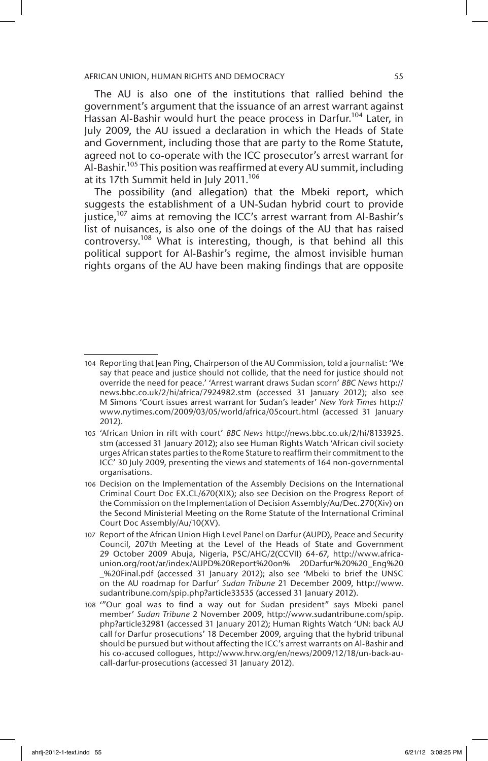The AU is also one of the institutions that rallied behind the government's argument that the issuance of an arrest warrant against Hassan Al-Bashir would hurt the peace process in Darfur.<sup>104</sup> Later, in July 2009, the AU issued a declaration in which the Heads of State and Government, including those that are party to the Rome Statute, agreed not to co-operate with the ICC prosecutor's arrest warrant for Al-Bashir.105 This position was reaffirmed at every AU summit, including at its 17th Summit held in July 2011.<sup>106</sup>

The possibility (and allegation) that the Mbeki report, which suggests the establishment of a UN-Sudan hybrid court to provide justice,<sup>107</sup> aims at removing the ICC's arrest warrant from Al-Bashir's list of nuisances, is also one of the doings of the AU that has raised controversy.<sup>108</sup> What is interesting, though, is that behind all this political support for Al-Bashir's regime, the almost invisible human rights organs of the AU have been making findings that are opposite

<sup>104</sup> Reporting that Jean Ping, Chairperson of the AU Commission, told a journalist: 'We say that peace and justice should not collide, that the need for justice should not override the need for peace.' 'Arrest warrant draws Sudan scorn' *BBC News* http:// news.bbc.co.uk/2/hi/africa/7924982.stm (accessed 31 January 2012); also see M Simons 'Court issues arrest warrant for Sudan's leader' *New York Times* http:// www.nytimes.com/2009/03/05/world/africa/05court.html (accessed 31 January 2012).

<sup>105</sup> 'African Union in rift with court' *BBC News* http://news.bbc.co.uk/2/hi/8133925. stm (accessed 31 January 2012); also see Human Rights Watch 'African civil society urges African states parties to the Rome Stature to reaffirm their commitment to the ICC' 30 July 2009, presenting the views and statements of 164 non-governmental organisations.

<sup>106</sup> Decision on the Implementation of the Assembly Decisions on the International Criminal Court Doc EX.CL/670(XIX); also see Decision on the Progress Report of the Commission on the Implementation of Decision Assembly/Au/Dec.270(Xiv) on the Second Ministerial Meeting on the Rome Statute of the International Criminal Court Doc Assembly/Au/10(XV).

<sup>107</sup> Report of the African Union High Level Panel on Darfur (AUPD), Peace and Security Council, 207th Meeting at the Level of the Heads of State and Government 29 October 2009 Abuja, Nigeria, PSC/AHG/2(CCVII) 64-67, http://www.africaunion.org/root/ar/index/AUPD%20Report%20on% 20Darfur%20%20\_Eng%20 \_%20Final.pdf (accessed 31 January 2012); also see 'Mbeki to brief the UNSC on the AU roadmap for Darfur' *Sudan Tribune* 21 December 2009, http://www. sudantribune.com/spip.php?article33535 (accessed 31 January 2012).

<sup>108</sup> '"Our goal was to find a way out for Sudan president" says Mbeki panel member' *Sudan Tribune* 2 November 2009, http://www.sudantribune.com/spip. php?article32981 (accessed 31 January 2012); Human Rights Watch 'UN: back AU call for Darfur prosecutions' 18 December 2009, arguing that the hybrid tribunal should be pursued but without affecting the ICC's arrest warrants on Al-Bashir and his co-accused collogues, http://www.hrw.org/en/news/2009/12/18/un-back-aucall-darfur-prosecutions (accessed 31 January 2012).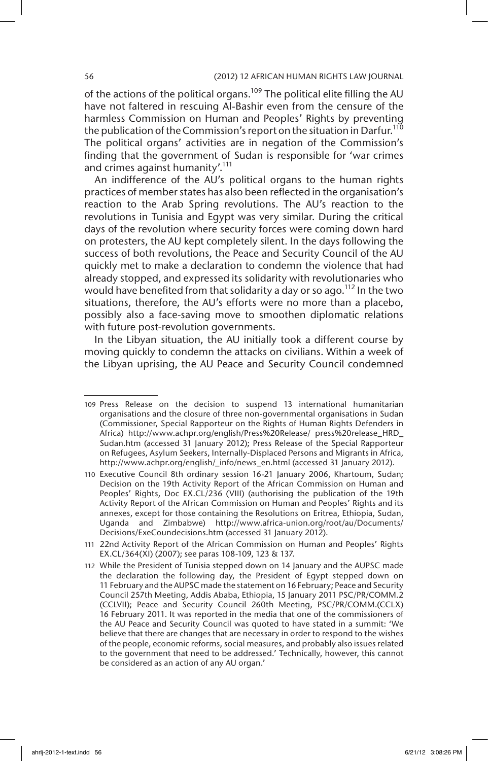of the actions of the political organs.<sup>109</sup> The political elite filling the AU have not faltered in rescuing Al-Bashir even from the censure of the harmless Commission on Human and Peoples' Rights by preventing the publication of the Commission's report on the situation in Darfur.<sup>110</sup> The political organs' activities are in negation of the Commission's finding that the government of Sudan is responsible for 'war crimes and crimes against humanity'.<sup>111</sup>

An indifference of the AU's political organs to the human rights practices of member states has also been reflected in the organisation's reaction to the Arab Spring revolutions. The AU's reaction to the revolutions in Tunisia and Egypt was very similar. During the critical days of the revolution where security forces were coming down hard on protesters, the AU kept completely silent. In the days following the success of both revolutions, the Peace and Security Council of the AU quickly met to make a declaration to condemn the violence that had already stopped, and expressed its solidarity with revolutionaries who would have benefited from that solidarity a day or so ago.<sup>112</sup> In the two situations, therefore, the AU's efforts were no more than a placebo, possibly also a face-saving move to smoothen diplomatic relations with future post-revolution governments.

In the Libyan situation, the AU initially took a different course by moving quickly to condemn the attacks on civilians. Within a week of the Libyan uprising, the AU Peace and Security Council condemned

<sup>109</sup> Press Release on the decision to suspend 13 international humanitarian organisations and the closure of three non-governmental organisations in Sudan (Commissioner, Special Rapporteur on the Rights of Human Rights Defenders in Africa) http://www.achpr.org/english/Press%20Release/ press%20release\_HRD\_ Sudan.htm (accessed 31 January 2012); Press Release of the Special Rapporteur on Refugees, Asylum Seekers, Internally-Displaced Persons and Migrants in Africa, http://www.achpr.org/english/\_info/news\_en.html (accessed 31 January 2012).

<sup>110</sup> Executive Council 8th ordinary session 16-21 January 2006, Khartoum, Sudan; Decision on the 19th Activity Report of the African Commission on Human and Peoples' Rights, Doc EX.CL/236 (VIII) (authorising the publication of the 19th Activity Report of the African Commission on Human and Peoples' Rights and its annexes, except for those containing the Resolutions on Eritrea, Ethiopia, Sudan, Uganda and Zimbabwe) http://www.africa-union.org/root/au/Documents/ Decisions/ExeCoundecisions.htm (accessed 31 January 2012).

<sup>111</sup> 22nd Activity Report of the African Commission on Human and Peoples' Rights EX.CL/364(XI) (2007); see paras 108-109, 123 & 137.

<sup>112</sup> While the President of Tunisia stepped down on 14 January and the AUPSC made the declaration the following day, the President of Egypt stepped down on 11 February and the AUPSC made the statement on 16 February; Peace and Security Council 257th Meeting, Addis Ababa, Ethiopia, 15 January 2011 PSC/PR/COMM.2 (CCLVII); Peace and Security Council 260th Meeting, PSC/PR/COMM.(CCLX) 16 February 2011. It was reported in the media that one of the commissioners of the AU Peace and Security Council was quoted to have stated in a summit: 'We believe that there are changes that are necessary in order to respond to the wishes of the people, economic reforms, social measures, and probably also issues related to the government that need to be addressed.' Technically, however, this cannot be considered as an action of any AU organ.'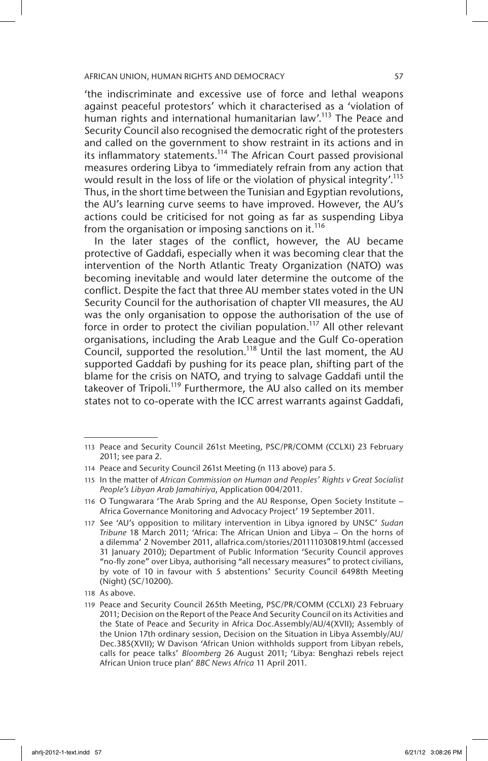'the indiscriminate and excessive use of force and lethal weapons against peaceful protestors' which it characterised as a 'violation of human rights and international humanitarian law'.<sup>113</sup> The Peace and Security Council also recognised the democratic right of the protesters and called on the government to show restraint in its actions and in its inflammatory statements.<sup>114</sup> The African Court passed provisional measures ordering Libya to 'immediately refrain from any action that would result in the loss of life or the violation of physical integrity'.<sup>115</sup> Thus, in the short time between the Tunisian and Egyptian revolutions, the AU's learning curve seems to have improved. However, the AU's actions could be criticised for not going as far as suspending Libya from the organisation or imposing sanctions on it.<sup>116</sup>

In the later stages of the conflict, however, the AU became protective of Gaddafi, especially when it was becoming clear that the intervention of the North Atlantic Treaty Organization (NATO) was becoming inevitable and would later determine the outcome of the conflict. Despite the fact that three AU member states voted in the UN Security Council for the authorisation of chapter VII measures, the AU was the only organisation to oppose the authorisation of the use of force in order to protect the civilian population.<sup>117</sup> All other relevant organisations, including the Arab League and the Gulf Co-operation Council, supported the resolution.<sup>118</sup> Until the last moment, the AU supported Gaddafi by pushing for its peace plan, shifting part of the blame for the crisis on NATO, and trying to salvage Gaddafi until the takeover of Tripoli.<sup>119</sup> Furthermore, the AU also called on its member states not to co-operate with the ICC arrest warrants against Gaddafi,

<sup>113</sup> Peace and Security Council 261st Meeting, PSC/PR/COMM (CCLXI) 23 February 2011; see para 2.

<sup>114</sup> Peace and Security Council 261st Meeting (n 113 above) para 5.

<sup>115</sup> In the matter of *African Commission on Human and Peoples' Rights v Great Socialist People's Libyan Arab Jamahiriya*, Application 004/2011.

<sup>116</sup> O Tungwarara 'The Arab Spring and the AU Response, Open Society Institute – Africa Governance Monitoring and Advocacy Project' 19 September 2011.

<sup>117</sup> See 'AU's opposition to military intervention in Libya ignored by UNSC' *Sudan Tribune* 18 March 2011; 'Africa: The African Union and Libya – On the horns of a dilemma' 2 November 2011, allafrica.com/stories/201111030819.html (accessed 31 January 2010); Department of Public Information 'Security Council approves "no-fly zone" over Libya, authorising "all necessary measures" to protect civilians, by vote of 10 in favour with 5 abstentions' Security Council 6498th Meeting (Night) (SC/10200).

<sup>118</sup> As above.

<sup>119</sup> Peace and Security Council 265th Meeting, PSC/PR/COMM (CCLXI) 23 February 2011; Decision on the Report of the Peace And Security Council on its Activities and the State of Peace and Security in Africa Doc.Assembly/AU/4(XVII); Assembly of the Union 17th ordinary session, Decision on the Situation in Libya Assembly/AU/ Dec.385(XVII); W Davison 'African Union withholds support from Libyan rebels, calls for peace talks' *Bloomberg* 26 August 2011; 'Libya: Benghazi rebels reject African Union truce plan' *BBC News Africa* 11 April 2011.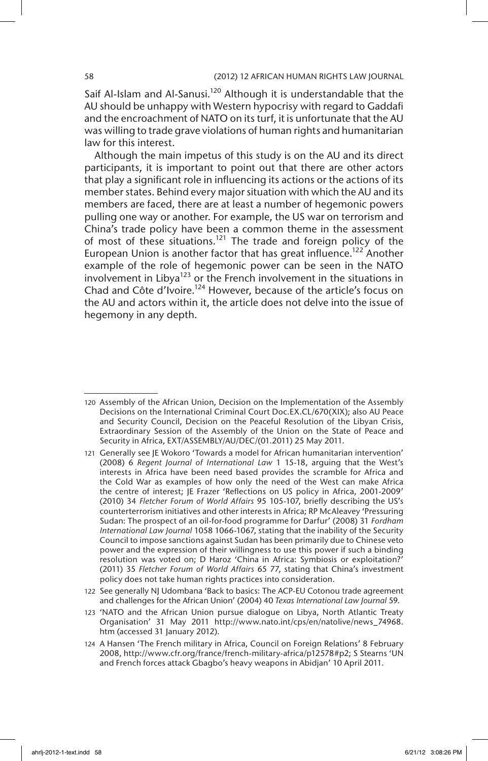Saif Al-Islam and Al-Sanusi.<sup>120</sup> Although it is understandable that the AU should be unhappy with Western hypocrisy with regard to Gaddafi and the encroachment of NATO on its turf, it is unfortunate that the AU was willing to trade grave violations of human rights and humanitarian law for this interest.

Although the main impetus of this study is on the AU and its direct participants, it is important to point out that there are other actors that play a significant role in influencing its actions or the actions of its member states. Behind every major situation with which the AU and its members are faced, there are at least a number of hegemonic powers pulling one way or another. For example, the US war on terrorism and China's trade policy have been a common theme in the assessment of most of these situations.<sup>121</sup> The trade and foreign policy of the European Union is another factor that has great influence.<sup>122</sup> Another example of the role of hegemonic power can be seen in the NATO involvement in Libya<sup>123</sup> or the French involvement in the situations in Chad and Côte d'Ivoire.124 However, because of the article's focus on the AU and actors within it, the article does not delve into the issue of hegemony in any depth.

<sup>120</sup> Assembly of the African Union, Decision on the Implementation of the Assembly Decisions on the International Criminal Court Doc.EX.CL/670(XIX); also AU Peace and Security Council, Decision on the Peaceful Resolution of the Libyan Crisis, Extraordinary Session of the Assembly of the Union on the State of Peace and Security in Africa, EXT/ASSEMBLY/AU/DEC/(01.2011) 25 May 2011.

<sup>121</sup> Generally see JE Wokoro 'Towards a model for African humanitarian intervention' (2008) 6 *Regent Journal of International Law* 1 15-18, arguing that the West's interests in Africa have been need based provides the scramble for Africa and the Cold War as examples of how only the need of the West can make Africa the centre of interest; JE Frazer 'Reflections on US policy in Africa, 2001-2009' (2010) 34 *Fletcher Forum of World Affairs* 95 105-107, briefly describing the US's counterterrorism initiatives and other interests in Africa; RP McAleavey 'Pressuring Sudan: The prospect of an oil-for-food programme for Darfur' (2008) 31 *Fordham International Law Journal* 1058 1066-1067, stating that the inability of the Security Council to impose sanctions against Sudan has been primarily due to Chinese veto power and the expression of their willingness to use this power if such a binding resolution was voted on; D Haroz 'China in Africa: Symbiosis or exploitation?' (2011) 35 *Fletcher Forum of World Affairs* 65 77, stating that China's investment policy does not take human rights practices into consideration.

<sup>122</sup> See generally NJ Udombana 'Back to basics: The ACP-EU Cotonou trade agreement and challenges for the African Union' (2004) 40 *Texas International Law Journal* 59.

<sup>123</sup> 'NATO and the African Union pursue dialogue on Libya, North Atlantic Treaty Organisation' 31 May 2011 http://www.nato.int/cps/en/natolive/news\_74968. htm (accessed 31 January 2012).

<sup>124</sup> A Hansen 'The French military in Africa, Council on Foreign Relations' 8 February 2008, http://www.cfr.org/france/french-military-africa/p12578#p2; S Stearns 'UN and French forces attack Gbagbo's heavy weapons in Abidjan' 10 April 2011.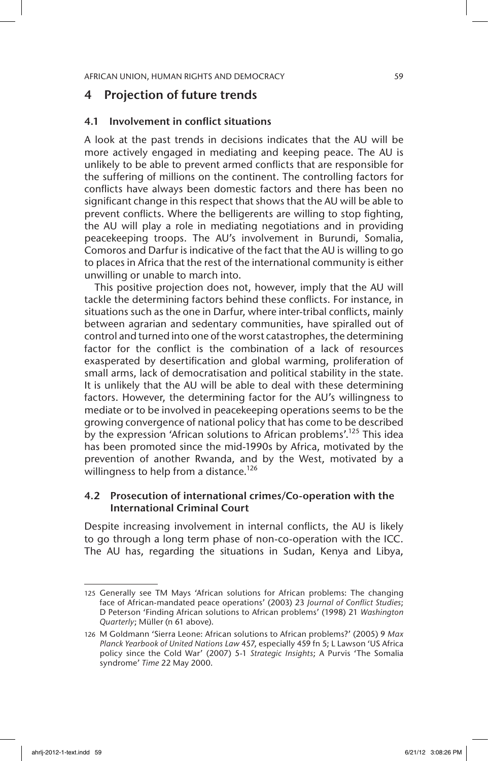# 4 Projection of future trends

# 4.1 Involvement in conflict situations

A look at the past trends in decisions indicates that the AU will be more actively engaged in mediating and keeping peace. The AU is unlikely to be able to prevent armed conflicts that are responsible for the suffering of millions on the continent. The controlling factors for conflicts have always been domestic factors and there has been no significant change in this respect that shows that the AU will be able to prevent conflicts. Where the belligerents are willing to stop fighting, the AU will play a role in mediating negotiations and in providing peacekeeping troops. The AU's involvement in Burundi, Somalia, Comoros and Darfur is indicative of the fact that the AU is willing to go to places in Africa that the rest of the international community is either unwilling or unable to march into.

This positive projection does not, however, imply that the AU will tackle the determining factors behind these conflicts. For instance, in situations such as the one in Darfur, where inter-tribal conflicts, mainly between agrarian and sedentary communities, have spiralled out of control and turned into one of the worst catastrophes, the determining factor for the conflict is the combination of a lack of resources exasperated by desertification and global warming, proliferation of small arms, lack of democratisation and political stability in the state. It is unlikely that the AU will be able to deal with these determining factors. However, the determining factor for the AU's willingness to mediate or to be involved in peacekeeping operations seems to be the growing convergence of national policy that has come to be described by the expression 'African solutions to African problems'.<sup>125</sup> This idea has been promoted since the mid-1990s by Africa, motivated by the prevention of another Rwanda, and by the West, motivated by a willingness to help from a distance.<sup>126</sup>

# 4.2 Prosecution of international crimes/Co-operation with the International Criminal Court

Despite increasing involvement in internal conflicts, the AU is likely to go through a long term phase of non-co-operation with the ICC. The AU has, regarding the situations in Sudan, Kenya and Libya,

<sup>125</sup> Generally see TM Mays 'African solutions for African problems: The changing face of African-mandated peace operations' (2003) 23 *Journal of Conflict Studies*; D Peterson 'Finding African solutions to African problems' (1998) 21 *Washington Quarterly*; Müller (n 61 above).

<sup>126</sup> M Goldmann 'Sierra Leone: African solutions to African problems?' (2005) 9 *Max Planck Yearbook of United Nations Law* 457, especially 459 fn 5; L Lawson 'US Africa policy since the Cold War' (2007) 5-1 *Strategic Insights*; A Purvis 'The Somalia syndrome' *Time* 22 May 2000.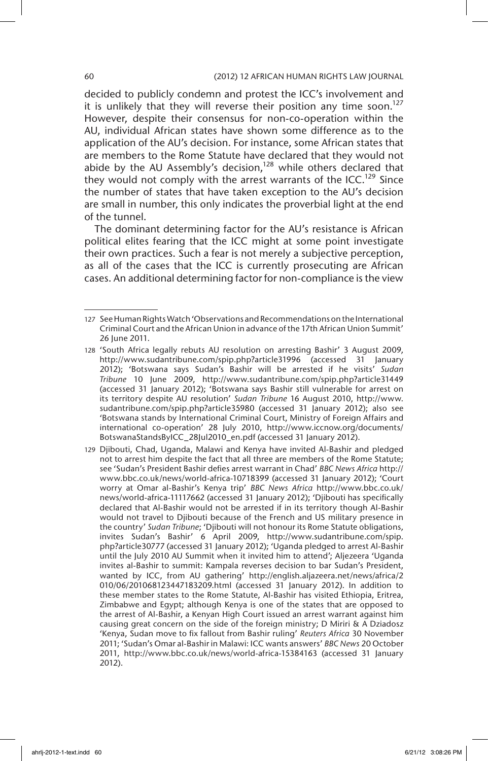# 60 (2012) 12 AFRICAN HUMAN RIGHTS LAW JOURNAL

decided to publicly condemn and protest the ICC's involvement and it is unlikely that they will reverse their position any time soon.<sup>127</sup> However, despite their consensus for non-co-operation within the AU, individual African states have shown some difference as to the application of the AU's decision. For instance, some African states that are members to the Rome Statute have declared that they would not abide by the AU Assembly's decision,<sup>128</sup> while others declared that they would not comply with the arrest warrants of the ICC.<sup>129</sup> Since the number of states that have taken exception to the AU's decision are small in number, this only indicates the proverbial light at the end of the tunnel.

The dominant determining factor for the AU's resistance is African political elites fearing that the ICC might at some point investigate their own practices. Such a fear is not merely a subjective perception, as all of the cases that the ICC is currently prosecuting are African cases. An additional determining factor for non-compliance is the view

<sup>127</sup> See Human Rights Watch 'Observations and Recommendations on the International Criminal Court and the African Union in advance of the 17th African Union Summit' 26 June 2011.

<sup>128</sup> 'South Africa legally rebuts AU resolution on arresting Bashir' 3 August 2009, http://www.sudantribune.com/spip.php?article31996 (accessed 31 January 2012); 'Botswana says Sudan's Bashir will be arrested if he visits' *Sudan Tribune* 10 June 2009, http://www.sudantribune.com/spip.php?article31449 (accessed 31 January 2012); 'Botswana says Bashir still vulnerable for arrest on its territory despite AU resolution' *Sudan Tribune* 16 August 2010, http://www. sudantribune.com/spip.php?article35980 (accessed 31 January 2012); also see 'Botswana stands by International Criminal Court, Ministry of Foreign Affairs and international co-operation' 28 July 2010, http://www.iccnow.org/documents/ BotswanaStandsByICC\_28Jul2010\_en.pdf (accessed 31 January 2012).

<sup>129</sup> Djibouti, Chad, Uganda, Malawi and Kenya have invited Al-Bashir and pledged not to arrest him despite the fact that all three are members of the Rome Statute; see 'Sudan's President Bashir defies arrest warrant in Chad' *BBC News Africa* http:// www.bbc.co.uk/news/world-africa-10718399 (accessed 31 January 2012); 'Court worry at Omar al-Bashir's Kenya trip' *BBC News Africa* http://www.bbc.co.uk/ news/world-africa-11117662 (accessed 31 January 2012); 'Djibouti has specifically declared that Al-Bashir would not be arrested if in its territory though Al-Bashir would not travel to Djibouti because of the French and US military presence in the country' *Sudan Tribune*; 'Djibouti will not honour its Rome Statute obligations, invites Sudan's Bashir' 6 April 2009, http://www.sudantribune.com/spip. php?article30777 (accessed 31 January 2012); 'Uganda pledged to arrest Al-Bashir until the July 2010 AU Summit when it invited him to attend'; Aljezeera 'Uganda invites al-Bashir to summit: Kampala reverses decision to bar Sudan's President, wanted by ICC, from AU gathering' http://english.aljazeera.net/news/africa/2 010/06/201068123447183209.html (accessed 31 January 2012). In addition to these member states to the Rome Statute, Al-Bashir has visited Ethiopia, Eritrea, Zimbabwe and Egypt; although Kenya is one of the states that are opposed to the arrest of Al-Bashir, a Kenyan High Court issued an arrest warrant against him causing great concern on the side of the foreign ministry; D Miriri & A Dziadosz 'Kenya, Sudan move to fix fallout from Bashir ruling' *Reuters Africa* 30 November 2011; 'Sudan's Omar al-Bashir in Malawi: ICC wants answers' *BBC News* 20 October 2011, http://www.bbc.co.uk/news/world-africa-15384163 (accessed 31 January 2012).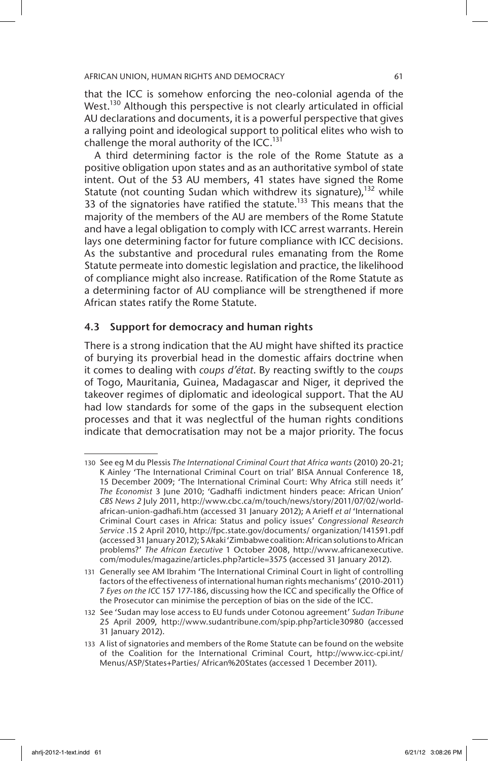that the ICC is somehow enforcing the neo-colonial agenda of the West.<sup>130</sup> Although this perspective is not clearly articulated in official AU declarations and documents, it is a powerful perspective that gives a rallying point and ideological support to political elites who wish to challenge the moral authority of the ICC.<sup>131</sup>

A third determining factor is the role of the Rome Statute as a positive obligation upon states and as an authoritative symbol of state intent. Out of the 53 AU members, 41 states have signed the Rome Statute (not counting Sudan which withdrew its signature),<sup>132</sup> while 33 of the signatories have ratified the statute.<sup>133</sup> This means that the majority of the members of the AU are members of the Rome Statute and have a legal obligation to comply with ICC arrest warrants. Herein lays one determining factor for future compliance with ICC decisions. As the substantive and procedural rules emanating from the Rome Statute permeate into domestic legislation and practice, the likelihood of compliance might also increase. Ratification of the Rome Statute as a determining factor of AU compliance will be strengthened if more African states ratify the Rome Statute.

# 4.3 Support for democracy and human rights

There is a strong indication that the AU might have shifted its practice of burying its proverbial head in the domestic affairs doctrine when it comes to dealing with *coups d'état*. By reacting swiftly to the *coups*  of Togo, Mauritania, Guinea, Madagascar and Niger, it deprived the takeover regimes of diplomatic and ideological support. That the AU had low standards for some of the gaps in the subsequent election processes and that it was neglectful of the human rights conditions indicate that democratisation may not be a major priority. The focus

<sup>130</sup> See eg M du Plessis *The International Criminal Court that Africa wants* (2010) 20-21; K Ainley 'The International Criminal Court on trial' BISA Annual Conference 18, 15 December 2009; 'The International Criminal Court: Why Africa still needs it' *The Economist* 3 June 2010; 'Gadhaffi indictment hinders peace: African Union' *CBS News 2* July 2011, http://www.cbc.ca/m/touch/news/story/2011/07/02/worldafrican-union-gadhafi.htm (accessed 31 January 2012); A Arieff *et al* 'International Criminal Court cases in Africa: Status and policy issues' *Congressional Research Service* .15 2 April 2010, http://fpc.state.gov/documents/ organization/141591.pdf (accessed 31 January 2012); S Akaki 'Zimbabwe coalition: African solutions to African problems?' *The African Executive* 1 October 2008, http://www.africanexecutive. com/modules/magazine/articles.php?article=3575 (accessed 31 January 2012).

<sup>131</sup> Generally see AM Ibrahim 'The International Criminal Court in light of controlling factors of the effectiveness of international human rights mechanisms' (2010-2011) 7 *Eyes on the ICC* 157 177-186, discussing how the ICC and specifically the Office of the Prosecutor can minimise the perception of bias on the side of the ICC.

<sup>132</sup> See 'Sudan may lose access to EU funds under Cotonou agreement' *Sudan Tribune* 25 April 2009, http://www.sudantribune.com/spip.php?article30980 (accessed 31 January 2012).

<sup>133</sup> A list of signatories and members of the Rome Statute can be found on the website of the Coalition for the International Criminal Court, http://www.icc-cpi.int/ Menus/ASP/States+Parties/ African%20States (accessed 1 December 2011).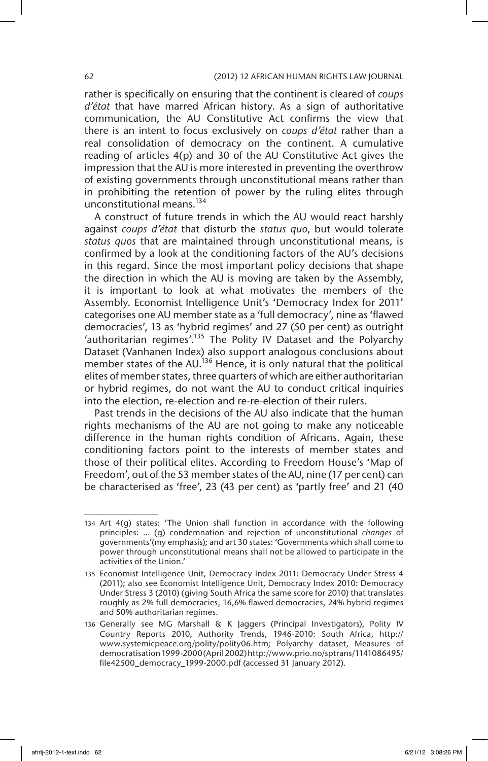rather is specifically on ensuring that the continent is cleared of *coups d'état* that have marred African history. As a sign of authoritative communication, the AU Constitutive Act confirms the view that there is an intent to focus exclusively on *coups d'état* rather than a real consolidation of democracy on the continent. A cumulative reading of articles 4(p) and 30 of the AU Constitutive Act gives the impression that the AU is more interested in preventing the overthrow of existing governments through unconstitutional means rather than in prohibiting the retention of power by the ruling elites through unconstitutional means.<sup>134</sup>

A construct of future trends in which the AU would react harshly against *coups d'état* that disturb the *status quo*, but would tolerate *status quos* that are maintained through unconstitutional means, is confirmed by a look at the conditioning factors of the AU's decisions in this regard. Since the most important policy decisions that shape the direction in which the AU is moving are taken by the Assembly, it is important to look at what motivates the members of the Assembly. Economist Intelligence Unit's 'Democracy Index for 2011' categorises one AU member state as a 'full democracy', nine as 'flawed democracies', 13 as 'hybrid regimes' and 27 (50 per cent) as outright 'authoritarian regimes'.135 The Polity IV Dataset and the Polyarchy Dataset (Vanhanen Index) also support analogous conclusions about member states of the AU.<sup>136</sup> Hence, it is only natural that the political elites of member states, three quarters of which are either authoritarian or hybrid regimes, do not want the AU to conduct critical inquiries into the election, re-election and re-re-election of their rulers.

Past trends in the decisions of the AU also indicate that the human rights mechanisms of the AU are not going to make any noticeable difference in the human rights condition of Africans. Again, these conditioning factors point to the interests of member states and those of their political elites. According to Freedom House's 'Map of Freedom', out of the 53 member states of the AU, nine (17 per cent) can be characterised as 'free', 23 (43 per cent) as 'partly free' and 21 (40

<sup>134</sup> Art 4(g) states: 'The Union shall function in accordance with the following principles: … (g) condemnation and rejection of unconstitutional *changes* of governments'(my emphasis); and art 30 states: 'Governments which shall come to power through unconstitutional means shall not be allowed to participate in the activities of the Union.'

<sup>135</sup> Economist Intelligence Unit, Democracy Index 2011: Democracy Under Stress 4 (2011); also see Economist Intelligence Unit, Democracy Index 2010: Democracy Under Stress 3 (2010) (giving South Africa the same score for 2010) that translates roughly as 2% full democracies, 16,6% flawed democracies, 24% hybrid regimes and 50% authoritarian regimes.

<sup>136</sup> Generally see MG Marshall & K Jaggers (Principal Investigators), Polity IV Country Reports 2010, Authority Trends, 1946-2010: South Africa, http:// www.systemicpeace.org/polity/polity06.htm; Polyarchy dataset, Measures of democratisation 1999-2000 (April 2002) http://www.prio.no/sptrans/1141086495/ file42500\_democracy\_1999-2000.pdf (accessed 31 January 2012).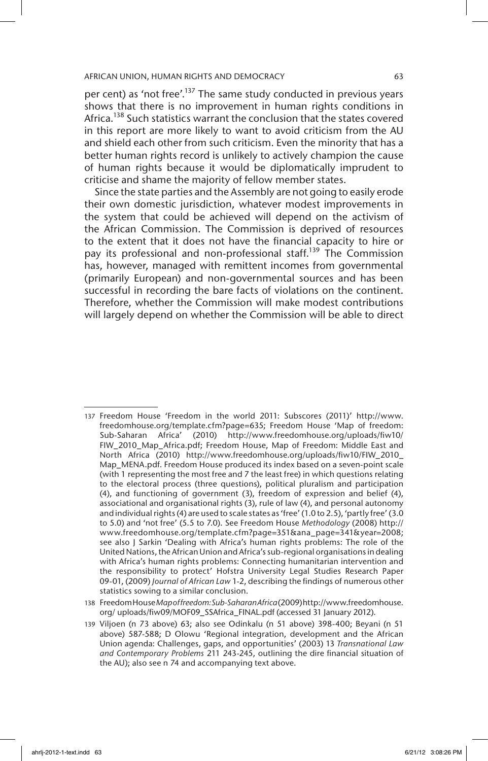per cent) as 'not free'.<sup>137</sup> The same study conducted in previous years shows that there is no improvement in human rights conditions in Africa.<sup>138</sup> Such statistics warrant the conclusion that the states covered in this report are more likely to want to avoid criticism from the AU and shield each other from such criticism. Even the minority that has a better human rights record is unlikely to actively champion the cause of human rights because it would be diplomatically imprudent to criticise and shame the majority of fellow member states.

Since the state parties and the Assembly are not going to easily erode their own domestic jurisdiction, whatever modest improvements in the system that could be achieved will depend on the activism of the African Commission. The Commission is deprived of resources to the extent that it does not have the financial capacity to hire or pay its professional and non-professional staff.<sup>139</sup> The Commission has, however, managed with remittent incomes from governmental (primarily European) and non-governmental sources and has been successful in recording the bare facts of violations on the continent. Therefore, whether the Commission will make modest contributions will largely depend on whether the Commission will be able to direct

<sup>137</sup> Freedom House 'Freedom in the world 2011: Subscores (2011)' http://www. freedomhouse.org/template.cfm?page=635; Freedom House 'Map of freedom: Sub-Saharan Africa' (2010) http://www.freedomhouse.org/uploads/fiw10/ FIW\_2010\_Map\_Africa.pdf; Freedom House, Map of Freedom: Middle East and North Africa (2010) http://www.freedomhouse.org/uploads/fiw10/FIW\_2010\_ Map\_MENA.pdf. Freedom House produced its index based on a seven-point scale (with 1 representing the most free and 7 the least free) in which questions relating to the electoral process (three questions), political pluralism and participation (4), and functioning of government (3), freedom of expression and belief (4), associational and organisational rights (3), rule of law (4), and personal autonomy and individual rights (4) are used to scale states as 'free' (1.0 to 2.5), 'partly free' (3.0 to 5.0) and 'not free' (5.5 to 7.0). See Freedom House *Methodology* (2008) http:// www.freedomhouse.org/template.cfm?page=351&ana\_page=341&year=2008; see also J Sarkin 'Dealing with Africa's human rights problems: The role of the United Nations, the African Union and Africa's sub-regional organisations in dealing with Africa's human rights problems: Connecting humanitarian intervention and the responsibility to protect' Hofstra University Legal Studies Research Paper 09-01, (2009) *Journal of African Law* 1-2, describing the findings of numerous other statistics sowing to a similar conclusion.

<sup>138</sup> Freedom House *Map of freedom: Sub-Saharan Africa* (2009) http://www.freedomhouse. org/ uploads/fiw09/MOF09\_SSAfrica\_FINAL.pdf (accessed 31 January 2012).

<sup>139</sup> Viljoen (n 73 above) 63; also see Odinkalu (n 51 above) 398-400; Beyani (n 51 above) 587-588; D Olowu 'Regional integration, development and the African Union agenda: Challenges, gaps, and opportunities' (2003) 13 *Transnational Law and Contemporary Problems* 211 243-245, outlining the dire financial situation of the AU); also see n 74 and accompanying text above.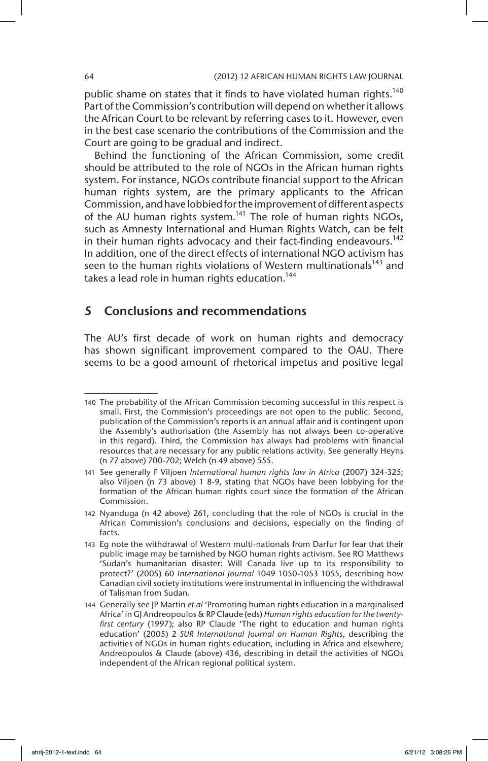public shame on states that it finds to have violated human rights.<sup>140</sup> Part of the Commission's contribution will depend on whether it allows the African Court to be relevant by referring cases to it. However, even in the best case scenario the contributions of the Commission and the Court are going to be gradual and indirect.

Behind the functioning of the African Commission, some credit should be attributed to the role of NGOs in the African human rights system. For instance, NGOs contribute financial support to the African human rights system, are the primary applicants to the African Commission, and have lobbied for the improvement of different aspects of the AU human rights system.<sup>141</sup> The role of human rights NGOs, such as Amnesty International and Human Rights Watch, can be felt in their human rights advocacy and their fact-finding endeavours.<sup>142</sup> In addition, one of the direct effects of international NGO activism has seen to the human rights violations of Western multinationals<sup>143</sup> and takes a lead role in human rights education.<sup>144</sup>

# 5 Conclusions and recommendations

The AU's first decade of work on human rights and democracy has shown significant improvement compared to the OAU. There seems to be a good amount of rhetorical impetus and positive legal

<sup>140</sup> The probability of the African Commission becoming successful in this respect is small. First, the Commission's proceedings are not open to the public. Second, publication of the Commission's reports is an annual affair and is contingent upon the Assembly's authorisation (the Assembly has not always been co-operative in this regard). Third, the Commission has always had problems with financial resources that are necessary for any public relations activity. See generally Heyns (n 77 above) 700-702; Welch (n 49 above) 555.

<sup>141</sup> See generally F Viljoen *International human rights law in Africa* (2007) 324-325; also Viljoen (n 73 above) 1 8-9, stating that NGOs have been lobbying for the formation of the African human rights court since the formation of the African Commission.

<sup>142</sup> Nyanduga (n 42 above) 261, concluding that the role of NGOs is crucial in the African Commission's conclusions and decisions, especially on the finding of facts.

<sup>143</sup> Eg note the withdrawal of Western multi-nationals from Darfur for fear that their public image may be tarnished by NGO human rights activism. See RO Matthews 'Sudan's humanitarian disaster: Will Canada live up to its responsibility to protect?' (2005) 60 *International Journal* 1049 1050-1053 1055, describing how Canadian civil society institutions were instrumental in influencing the withdrawal of Talisman from Sudan.

<sup>144</sup> Generally see JP Martin *et al* 'Promoting human rights education in a marginalised Africa' in GJ Andreopoulos & RP Claude (eds) *Human rights education for the twentyfirst century* (1997); also RP Claude 'The right to education and human rights education' (2005) 2 *SUR International Journal on Human Rights*, describing the activities of NGOs in human rights education, including in Africa and elsewhere; Andreopoulos & Claude (above) 436, describing in detail the activities of NGOs independent of the African regional political system.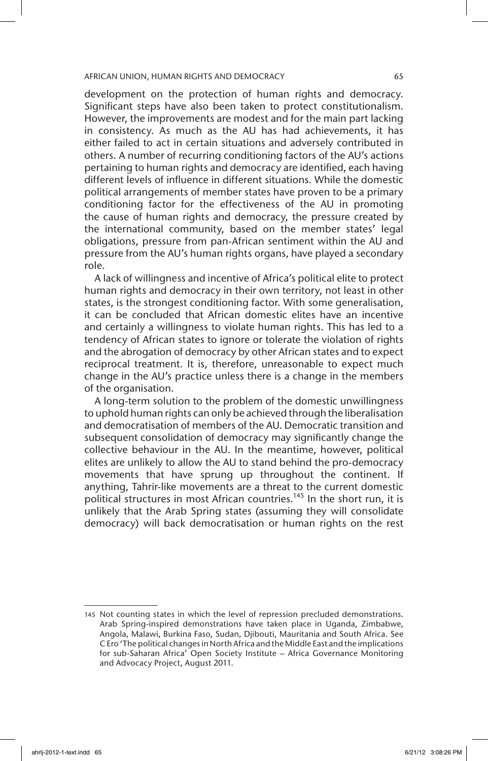development on the protection of human rights and democracy. Significant steps have also been taken to protect constitutionalism. However, the improvements are modest and for the main part lacking in consistency. As much as the AU has had achievements, it has either failed to act in certain situations and adversely contributed in others. A number of recurring conditioning factors of the AU's actions pertaining to human rights and democracy are identified, each having different levels of influence in different situations. While the domestic political arrangements of member states have proven to be a primary conditioning factor for the effectiveness of the AU in promoting the cause of human rights and democracy, the pressure created by the international community, based on the member states' legal obligations, pressure from pan-African sentiment within the AU and pressure from the AU's human rights organs, have played a secondary role.

A lack of willingness and incentive of Africa's political elite to protect human rights and democracy in their own territory, not least in other states, is the strongest conditioning factor. With some generalisation, it can be concluded that African domestic elites have an incentive and certainly a willingness to violate human rights. This has led to a tendency of African states to ignore or tolerate the violation of rights and the abrogation of democracy by other African states and to expect reciprocal treatment. It is, therefore, unreasonable to expect much change in the AU's practice unless there is a change in the members of the organisation.

A long-term solution to the problem of the domestic unwillingness to uphold human rights can only be achieved through the liberalisation and democratisation of members of the AU. Democratic transition and subsequent consolidation of democracy may significantly change the collective behaviour in the AU. In the meantime, however, political elites are unlikely to allow the AU to stand behind the pro-democracy movements that have sprung up throughout the continent. If anything, Tahrir-like movements are a threat to the current domestic political structures in most African countries.<sup>145</sup> In the short run, it is unlikely that the Arab Spring states (assuming they will consolidate democracy) will back democratisation or human rights on the rest

<sup>145</sup> Not counting states in which the level of repression precluded demonstrations. Arab Spring-inspired demonstrations have taken place in Uganda, Zimbabwe, Angola, Malawi, Burkina Faso, Sudan, Djibouti, Mauritania and South Africa. See C Ero 'The political changes in North Africa and the Middle East and the implications for sub-Saharan Africa' Open Society Institute – Africa Governance Monitoring and Advocacy Project, August 2011.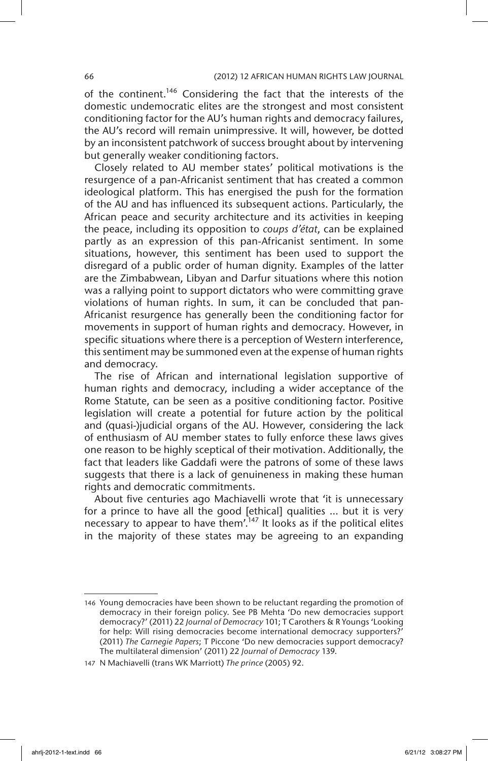of the continent.<sup>146</sup> Considering the fact that the interests of the domestic undemocratic elites are the strongest and most consistent conditioning factor for the AU's human rights and democracy failures, the AU's record will remain unimpressive. It will, however, be dotted by an inconsistent patchwork of success brought about by intervening but generally weaker conditioning factors.

Closely related to AU member states' political motivations is the resurgence of a pan-Africanist sentiment that has created a common ideological platform. This has energised the push for the formation of the AU and has influenced its subsequent actions. Particularly, the African peace and security architecture and its activities in keeping the peace, including its opposition to *coups d'état*, can be explained partly as an expression of this pan-Africanist sentiment. In some situations, however, this sentiment has been used to support the disregard of a public order of human dignity. Examples of the latter are the Zimbabwean, Libyan and Darfur situations where this notion was a rallying point to support dictators who were committing grave violations of human rights. In sum, it can be concluded that pan-Africanist resurgence has generally been the conditioning factor for movements in support of human rights and democracy. However, in specific situations where there is a perception of Western interference, this sentiment may be summoned even at the expense of human rights and democracy.

The rise of African and international legislation supportive of human rights and democracy, including a wider acceptance of the Rome Statute, can be seen as a positive conditioning factor. Positive legislation will create a potential for future action by the political and (quasi-)judicial organs of the AU. However, considering the lack of enthusiasm of AU member states to fully enforce these laws gives one reason to be highly sceptical of their motivation. Additionally, the fact that leaders like Gaddafi were the patrons of some of these laws suggests that there is a lack of genuineness in making these human rights and democratic commitments.

About five centuries ago Machiavelli wrote that 'it is unnecessary for a prince to have all the good [ethical] qualities … but it is very necessary to appear to have them'.<sup>147</sup> It looks as if the political elites in the majority of these states may be agreeing to an expanding

<sup>146</sup> Young democracies have been shown to be reluctant regarding the promotion of democracy in their foreign policy. See PB Mehta 'Do new democracies support democracy?' (2011) 22 *Journal of Democracy* 101; T Carothers & R Youngs 'Looking for help: Will rising democracies become international democracy supporters?' (2011) *The Carnegie Papers*; T Piccone 'Do new democracies support democracy? The multilateral dimension' (2011) 22 *Journal of Democracy* 139.

<sup>147</sup> N Machiavelli (trans WK Marriott) *The prince* (2005) 92.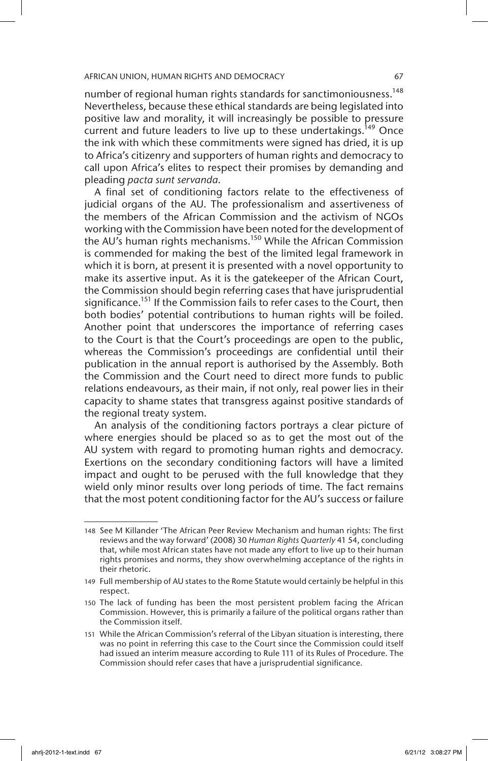number of regional human rights standards for sanctimoniousness.<sup>148</sup> Nevertheless, because these ethical standards are being legislated into positive law and morality, it will increasingly be possible to pressure current and future leaders to live up to these undertakings.<sup>149</sup> Once the ink with which these commitments were signed has dried, it is up to Africa's citizenry and supporters of human rights and democracy to call upon Africa's elites to respect their promises by demanding and pleading *pacta sunt servanda*.

A final set of conditioning factors relate to the effectiveness of judicial organs of the AU. The professionalism and assertiveness of the members of the African Commission and the activism of NGOs working with the Commission have been noted for the development of the AU's human rights mechanisms.<sup>150</sup> While the African Commission is commended for making the best of the limited legal framework in which it is born, at present it is presented with a novel opportunity to make its assertive input. As it is the gatekeeper of the African Court, the Commission should begin referring cases that have jurisprudential significance.<sup>151</sup> If the Commission fails to refer cases to the Court, then both bodies' potential contributions to human rights will be foiled. Another point that underscores the importance of referring cases to the Court is that the Court's proceedings are open to the public, whereas the Commission's proceedings are confidential until their publication in the annual report is authorised by the Assembly. Both the Commission and the Court need to direct more funds to public relations endeavours, as their main, if not only, real power lies in their capacity to shame states that transgress against positive standards of the regional treaty system.

An analysis of the conditioning factors portrays a clear picture of where energies should be placed so as to get the most out of the AU system with regard to promoting human rights and democracy. Exertions on the secondary conditioning factors will have a limited impact and ought to be perused with the full knowledge that they wield only minor results over long periods of time. The fact remains that the most potent conditioning factor for the AU's success or failure

<sup>148</sup> See M Killander 'The African Peer Review Mechanism and human rights: The first reviews and the way forward' (2008) 30 *Human Rights Quarterly* 41 54, concluding that, while most African states have not made any effort to live up to their human rights promises and norms, they show overwhelming acceptance of the rights in their rhetoric.

<sup>149</sup> Full membership of AU states to the Rome Statute would certainly be helpful in this respect.

<sup>150</sup> The lack of funding has been the most persistent problem facing the African Commission. However, this is primarily a failure of the political organs rather than the Commission itself.

<sup>151</sup> While the African Commission's referral of the Libyan situation is interesting, there was no point in referring this case to the Court since the Commission could itself had issued an interim measure according to Rule 111 of its Rules of Procedure. The Commission should refer cases that have a jurisprudential significance.